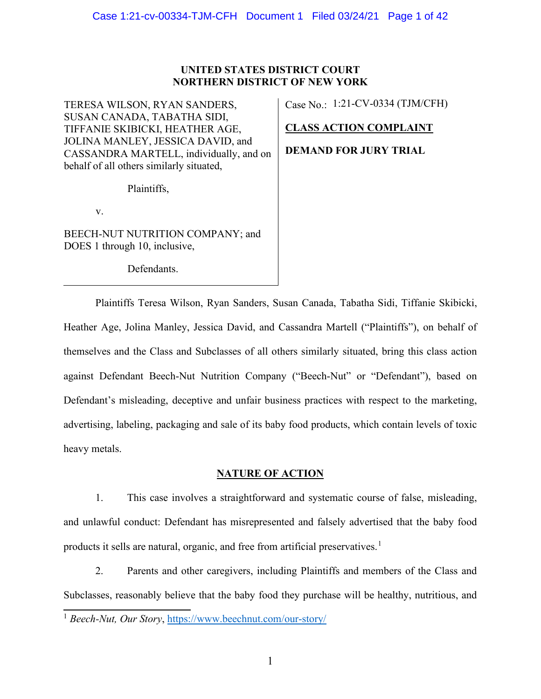# **UNITED STATES DISTRICT COURT NORTHERN DISTRICT OF NEW YORK**

TERESA WILSON, RYAN SANDERS, SUSAN CANADA, TABATHA SIDI, TIFFANIE SKIBICKI, HEATHER AGE, JOLINA MANLEY, JESSICA DAVID, and CASSANDRA MARTELL, individually, and on behalf of all others similarly situated,

Plaintiffs,

v.

BEECH-NUT NUTRITION COMPANY; and DOES 1 through 10, inclusive,

Defendants.

Case No.: 1:21-CV-0334 (TJM/CFH)

# **CLASS ACTION COMPLAINT**

**DEMAND FOR JURY TRIAL**

Plaintiffs Teresa Wilson, Ryan Sanders, Susan Canada, Tabatha Sidi, Tiffanie Skibicki, Heather Age, Jolina Manley, Jessica David, and Cassandra Martell ("Plaintiffs"), on behalf of themselves and the Class and Subclasses of all others similarly situated, bring this class action against Defendant Beech-Nut Nutrition Company ("Beech-Nut" or "Defendant"), based on Defendant's misleading, deceptive and unfair business practices with respect to the marketing, advertising, labeling, packaging and sale of its baby food products, which contain levels of toxic heavy metals.

# **NATURE OF ACTION**

1. This case involves a straightforward and systematic course of false, misleading, and unlawful conduct: Defendant has misrepresented and falsely advertised that the baby food products it sells are natural, organic, and free from artificial preservatives.<sup>1</sup>

2. Parents and other caregivers, including Plaintiffs and members of the Class and Subclasses, reasonably believe that the baby food they purchase will be healthy, nutritious, and

<sup>1</sup> *Beech-Nut, Our Story*, https://www.beechnut.com/our-story/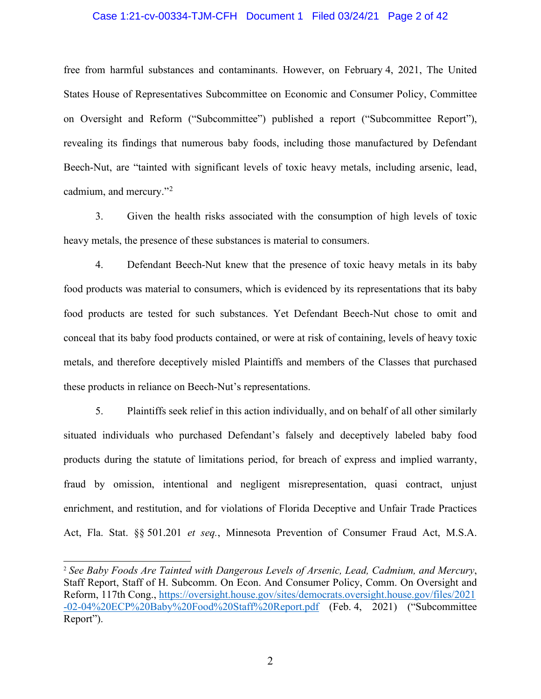#### Case 1:21-cv-00334-TJM-CFH Document 1 Filed 03/24/21 Page 2 of 42

free from harmful substances and contaminants. However, on February 4, 2021, The United States House of Representatives Subcommittee on Economic and Consumer Policy, Committee on Oversight and Reform ("Subcommittee") published a report ("Subcommittee Report"), revealing its findings that numerous baby foods, including those manufactured by Defendant Beech-Nut, are "tainted with significant levels of toxic heavy metals, including arsenic, lead, cadmium, and mercury."<sup>2</sup>

3. Given the health risks associated with the consumption of high levels of toxic heavy metals, the presence of these substances is material to consumers.

4. Defendant Beech-Nut knew that the presence of toxic heavy metals in its baby food products was material to consumers, which is evidenced by its representations that its baby food products are tested for such substances. Yet Defendant Beech-Nut chose to omit and conceal that its baby food products contained, or were at risk of containing, levels of heavy toxic metals, and therefore deceptively misled Plaintiffs and members of the Classes that purchased these products in reliance on Beech-Nut's representations.

5. Plaintiffs seek relief in this action individually, and on behalf of all other similarly situated individuals who purchased Defendant's falsely and deceptively labeled baby food products during the statute of limitations period, for breach of express and implied warranty, fraud by omission, intentional and negligent misrepresentation, quasi contract, unjust enrichment, and restitution, and for violations of Florida Deceptive and Unfair Trade Practices Act, Fla. Stat. §§ 501.201 *et seq.*, Minnesota Prevention of Consumer Fraud Act, M.S.A.

<sup>2</sup> *See Baby Foods Are Tainted with Dangerous Levels of Arsenic, Lead, Cadmium, and Mercury*, Staff Report, Staff of H. Subcomm. On Econ. And Consumer Policy, Comm. On Oversight and Reform, 117th Cong., https://oversight.house.gov/sites/democrats.oversight.house.gov/files/2021 -02-04%20ECP%20Baby%20Food%20Staff%20Report.pdf (Feb. 4, 2021) ("Subcommittee Report").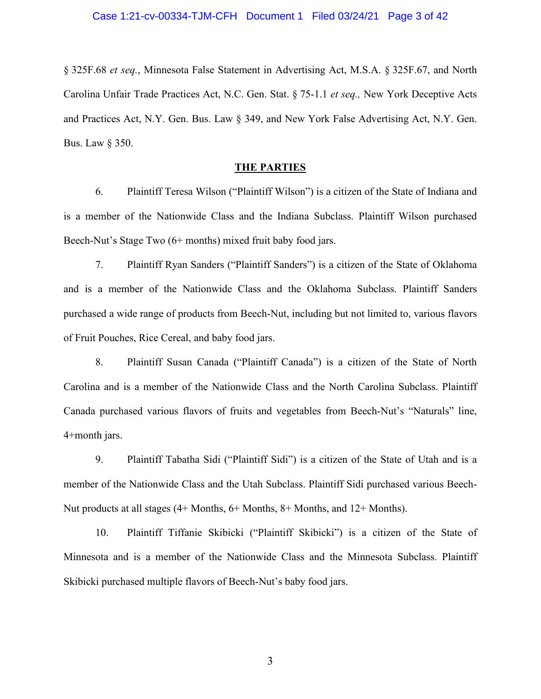§ 325F.68 *et seq.*, Minnesota False Statement in Advertising Act, M.S.A. § 325F.67, and North Carolina Unfair Trade Practices Act, N.C. Gen. Stat. § 75-1.1 *et seq.,* New York Deceptive Acts and Practices Act, N.Y. Gen. Bus. Law § 349, and New York False Advertising Act, N.Y. Gen. Bus. Law § 350.

#### **THE PARTIES**

6. Plaintiff Teresa Wilson ("Plaintiff Wilson") is a citizen of the State of Indiana and is a member of the Nationwide Class and the Indiana Subclass. Plaintiff Wilson purchased Beech-Nut's Stage Two (6+ months) mixed fruit baby food jars.

7. Plaintiff Ryan Sanders ("Plaintiff Sanders") is a citizen of the State of Oklahoma and is a member of the Nationwide Class and the Oklahoma Subclass. Plaintiff Sanders purchased a wide range of products from Beech-Nut, including but not limited to, various flavors of Fruit Pouches, Rice Cereal, and baby food jars.

8. Plaintiff Susan Canada ("Plaintiff Canada") is a citizen of the State of North Carolina and is a member of the Nationwide Class and the North Carolina Subclass. Plaintiff Canada purchased various flavors of fruits and vegetables from Beech-Nut's "Naturals" line, 4+month jars.

9. Plaintiff Tabatha Sidi ("Plaintiff Sidi") is a citizen of the State of Utah and is a member of the Nationwide Class and the Utah Subclass. Plaintiff Sidi purchased various Beech-Nut products at all stages (4+ Months, 6+ Months, 8+ Months, and 12+ Months).

10. Plaintiff Tiffanie Skibicki ("Plaintiff Skibicki") is a citizen of the State of Minnesota and is a member of the Nationwide Class and the Minnesota Subclass. Plaintiff Skibicki purchased multiple flavors of Beech-Nut's baby food jars.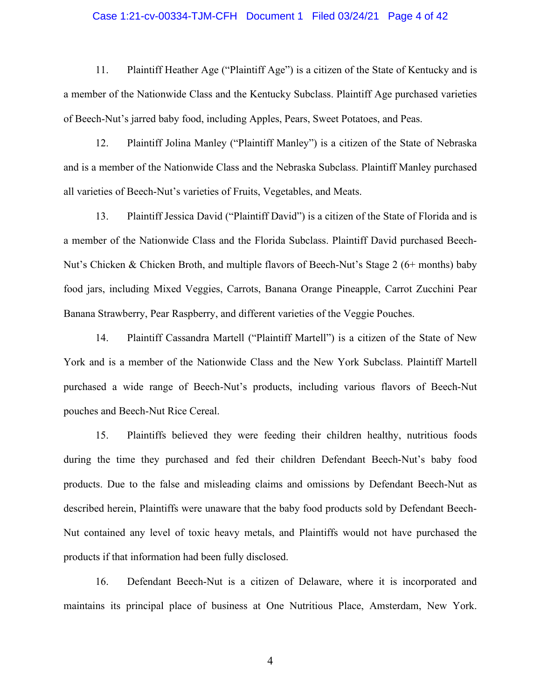#### Case 1:21-cv-00334-TJM-CFH Document 1 Filed 03/24/21 Page 4 of 42

11. Plaintiff Heather Age ("Plaintiff Age") is a citizen of the State of Kentucky and is a member of the Nationwide Class and the Kentucky Subclass. Plaintiff Age purchased varieties of Beech-Nut's jarred baby food, including Apples, Pears, Sweet Potatoes, and Peas.

12. Plaintiff Jolina Manley ("Plaintiff Manley") is a citizen of the State of Nebraska and is a member of the Nationwide Class and the Nebraska Subclass. Plaintiff Manley purchased all varieties of Beech-Nut's varieties of Fruits, Vegetables, and Meats.

13. Plaintiff Jessica David ("Plaintiff David") is a citizen of the State of Florida and is a member of the Nationwide Class and the Florida Subclass. Plaintiff David purchased Beech-Nut's Chicken & Chicken Broth, and multiple flavors of Beech-Nut's Stage 2 (6+ months) baby food jars, including Mixed Veggies, Carrots, Banana Orange Pineapple, Carrot Zucchini Pear Banana Strawberry, Pear Raspberry, and different varieties of the Veggie Pouches.

14. Plaintiff Cassandra Martell ("Plaintiff Martell") is a citizen of the State of New York and is a member of the Nationwide Class and the New York Subclass. Plaintiff Martell purchased a wide range of Beech-Nut's products, including various flavors of Beech-Nut pouches and Beech-Nut Rice Cereal.

15. Plaintiffs believed they were feeding their children healthy, nutritious foods during the time they purchased and fed their children Defendant Beech-Nut's baby food products. Due to the false and misleading claims and omissions by Defendant Beech-Nut as described herein, Plaintiffs were unaware that the baby food products sold by Defendant Beech-Nut contained any level of toxic heavy metals, and Plaintiffs would not have purchased the products if that information had been fully disclosed.

16. Defendant Beech-Nut is a citizen of Delaware, where it is incorporated and maintains its principal place of business at One Nutritious Place, Amsterdam, New York.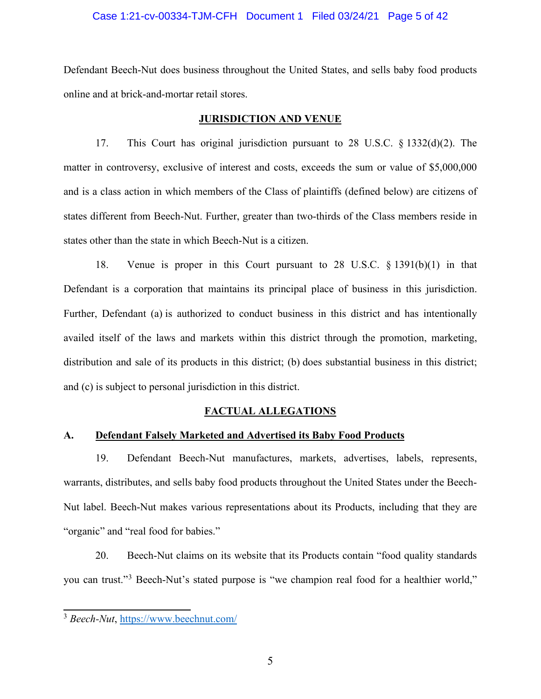#### Case 1:21-cv-00334-TJM-CFH Document 1 Filed 03/24/21 Page 5 of 42

Defendant Beech-Nut does business throughout the United States, and sells baby food products online and at brick-and-mortar retail stores.

#### **JURISDICTION AND VENUE**

17. This Court has original jurisdiction pursuant to 28 U.S.C. § 1332(d)(2). The matter in controversy, exclusive of interest and costs, exceeds the sum or value of \$5,000,000 and is a class action in which members of the Class of plaintiffs (defined below) are citizens of states different from Beech-Nut. Further, greater than two-thirds of the Class members reside in states other than the state in which Beech-Nut is a citizen.

18. Venue is proper in this Court pursuant to 28 U.S.C. § 1391(b)(1) in that Defendant is a corporation that maintains its principal place of business in this jurisdiction. Further, Defendant (a) is authorized to conduct business in this district and has intentionally availed itself of the laws and markets within this district through the promotion, marketing, distribution and sale of its products in this district; (b) does substantial business in this district; and (c) is subject to personal jurisdiction in this district.

#### **FACTUAL ALLEGATIONS**

# **A. Defendant Falsely Marketed and Advertised its Baby Food Products**

19. Defendant Beech-Nut manufactures, markets, advertises, labels, represents, warrants, distributes, and sells baby food products throughout the United States under the Beech-Nut label. Beech-Nut makes various representations about its Products, including that they are "organic" and "real food for babies."

20. Beech-Nut claims on its website that its Products contain "food quality standards you can trust."<sup>3</sup> Beech-Nut's stated purpose is "we champion real food for a healthier world,"

<sup>3</sup> *Beech-Nut*, https://www.beechnut.com/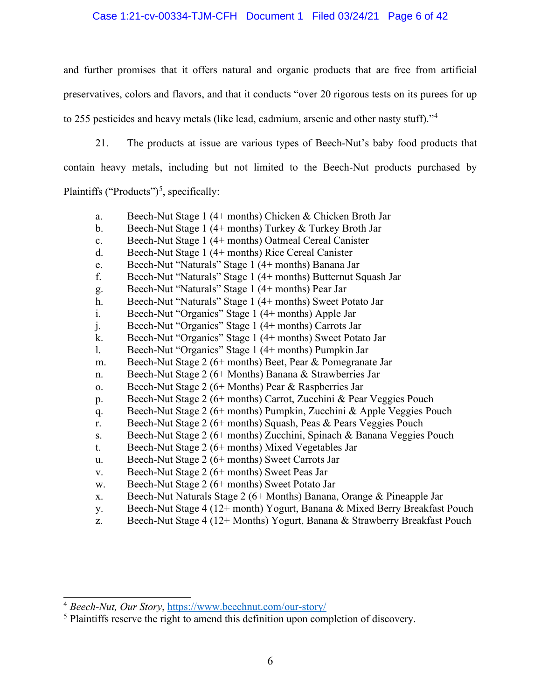### Case 1:21-cv-00334-TJM-CFH Document 1 Filed 03/24/21 Page 6 of 42

and further promises that it offers natural and organic products that are free from artificial preservatives, colors and flavors, and that it conducts "over 20 rigorous tests on its purees for up to 255 pesticides and heavy metals (like lead, cadmium, arsenic and other nasty stuff)."<sup>4</sup>

21. The products at issue are various types of Beech-Nut's baby food products that

contain heavy metals, including but not limited to the Beech-Nut products purchased by

Plaintiffs ("Products")<sup>5</sup>, specifically:

- a. Beech-Nut Stage 1 (4+ months) Chicken & Chicken Broth Jar
- b. Beech-Nut Stage 1 (4+ months) Turkey & Turkey Broth Jar
- c. Beech-Nut Stage 1 (4+ months) Oatmeal Cereal Canister
- d. Beech-Nut Stage 1 (4+ months) Rice Cereal Canister
- e. Beech-Nut "Naturals" Stage 1 (4+ months) Banana Jar
- f. Beech-Nut "Naturals" Stage 1 (4+ months) Butternut Squash Jar
- g. Beech-Nut "Naturals" Stage 1 (4+ months) Pear Jar
- h. Beech-Nut "Naturals" Stage 1 (4+ months) Sweet Potato Jar
- i. Beech-Nut "Organics" Stage 1 (4+ months) Apple Jar
- j. Beech-Nut "Organics" Stage 1 (4+ months) Carrots Jar
- k. Beech-Nut "Organics" Stage 1 (4+ months) Sweet Potato Jar
- l. Beech-Nut "Organics" Stage 1 (4+ months) Pumpkin Jar
- m. Beech-Nut Stage 2 (6+ months) Beet, Pear & Pomegranate Jar
- n. Beech-Nut Stage 2 (6+ Months) Banana & Strawberries Jar
- o. Beech-Nut Stage 2 (6+ Months) Pear & Raspberries Jar
- p. Beech-Nut Stage 2 (6+ months) Carrot, Zucchini & Pear Veggies Pouch
- q. Beech-Nut Stage 2 (6+ months) Pumpkin, Zucchini & Apple Veggies Pouch
- r. Beech-Nut Stage 2 (6+ months) Squash, Peas & Pears Veggies Pouch
- s. Beech-Nut Stage 2 (6+ months) Zucchini, Spinach & Banana Veggies Pouch
- t. Beech-Nut Stage 2 (6+ months) Mixed Vegetables Jar
- u. Beech-Nut Stage 2 (6+ months) Sweet Carrots Jar
- v. Beech-Nut Stage 2 (6+ months) Sweet Peas Jar
- w. Beech-Nut Stage 2 (6+ months) Sweet Potato Jar
- x. Beech-Nut Naturals Stage 2 (6+ Months) Banana, Orange & Pineapple Jar
- y. Beech-Nut Stage 4 (12+ month) Yogurt, Banana & Mixed Berry Breakfast Pouch
- z. Beech-Nut Stage 4 (12+ Months) Yogurt, Banana & Strawberry Breakfast Pouch

<sup>4</sup> *Beech-Nut, Our Story*, https://www.beechnut.com/our-story/

<sup>&</sup>lt;sup>5</sup> Plaintiffs reserve the right to amend this definition upon completion of discovery.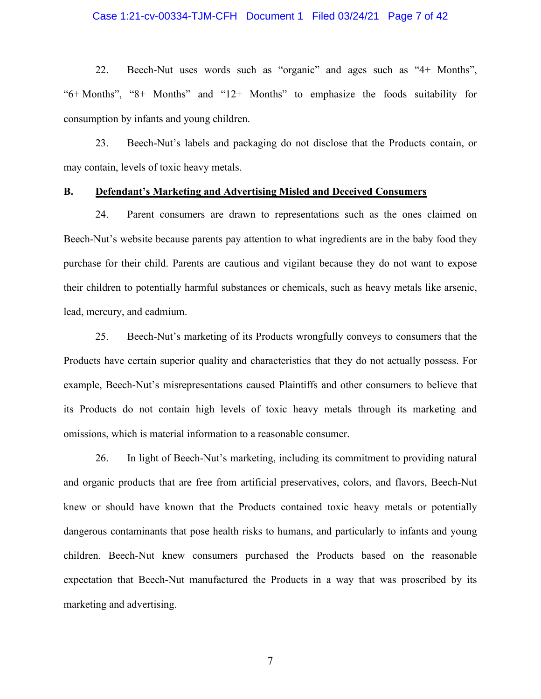#### Case 1:21-cv-00334-TJM-CFH Document 1 Filed 03/24/21 Page 7 of 42

22. Beech-Nut uses words such as "organic" and ages such as "4+ Months", "6+ Months", "8+ Months" and "12+ Months" to emphasize the foods suitability for consumption by infants and young children.

23. Beech-Nut's labels and packaging do not disclose that the Products contain, or may contain, levels of toxic heavy metals.

#### **B. Defendant's Marketing and Advertising Misled and Deceived Consumers**

24. Parent consumers are drawn to representations such as the ones claimed on Beech-Nut's website because parents pay attention to what ingredients are in the baby food they purchase for their child. Parents are cautious and vigilant because they do not want to expose their children to potentially harmful substances or chemicals, such as heavy metals like arsenic, lead, mercury, and cadmium.

25. Beech-Nut's marketing of its Products wrongfully conveys to consumers that the Products have certain superior quality and characteristics that they do not actually possess. For example, Beech-Nut's misrepresentations caused Plaintiffs and other consumers to believe that its Products do not contain high levels of toxic heavy metals through its marketing and omissions, which is material information to a reasonable consumer.

26. In light of Beech-Nut's marketing, including its commitment to providing natural and organic products that are free from artificial preservatives, colors, and flavors, Beech-Nut knew or should have known that the Products contained toxic heavy metals or potentially dangerous contaminants that pose health risks to humans, and particularly to infants and young children. Beech-Nut knew consumers purchased the Products based on the reasonable expectation that Beech-Nut manufactured the Products in a way that was proscribed by its marketing and advertising.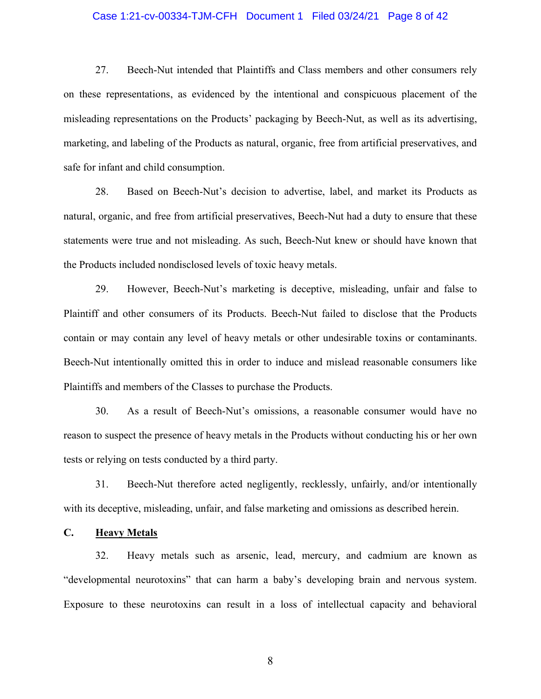#### Case 1:21-cv-00334-TJM-CFH Document 1 Filed 03/24/21 Page 8 of 42

27. Beech-Nut intended that Plaintiffs and Class members and other consumers rely on these representations, as evidenced by the intentional and conspicuous placement of the misleading representations on the Products' packaging by Beech-Nut, as well as its advertising, marketing, and labeling of the Products as natural, organic, free from artificial preservatives, and safe for infant and child consumption.

28. Based on Beech-Nut's decision to advertise, label, and market its Products as natural, organic, and free from artificial preservatives, Beech-Nut had a duty to ensure that these statements were true and not misleading. As such, Beech-Nut knew or should have known that the Products included nondisclosed levels of toxic heavy metals.

29. However, Beech-Nut's marketing is deceptive, misleading, unfair and false to Plaintiff and other consumers of its Products. Beech-Nut failed to disclose that the Products contain or may contain any level of heavy metals or other undesirable toxins or contaminants. Beech-Nut intentionally omitted this in order to induce and mislead reasonable consumers like Plaintiffs and members of the Classes to purchase the Products.

30. As a result of Beech-Nut's omissions, a reasonable consumer would have no reason to suspect the presence of heavy metals in the Products without conducting his or her own tests or relying on tests conducted by a third party.

31. Beech-Nut therefore acted negligently, recklessly, unfairly, and/or intentionally with its deceptive, misleading, unfair, and false marketing and omissions as described herein.

#### **C. Heavy Metals**

32. Heavy metals such as arsenic, lead, mercury, and cadmium are known as "developmental neurotoxins" that can harm a baby's developing brain and nervous system. Exposure to these neurotoxins can result in a loss of intellectual capacity and behavioral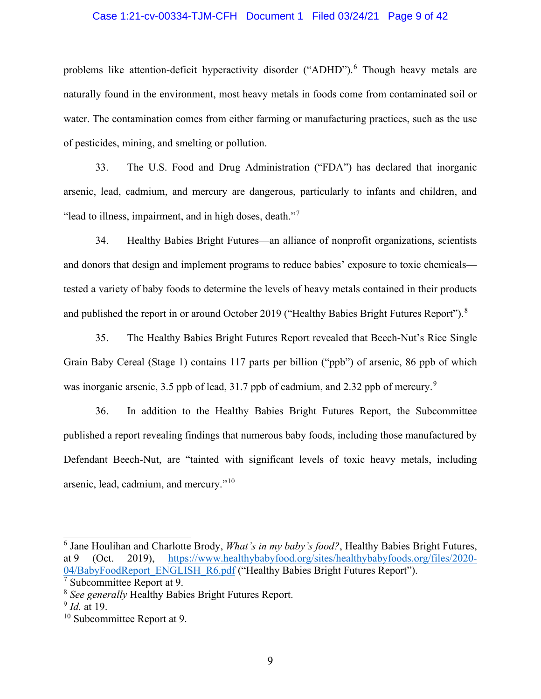#### Case 1:21-cv-00334-TJM-CFH Document 1 Filed 03/24/21 Page 9 of 42

problems like attention-deficit hyperactivity disorder ("ADHD").<sup>6</sup> Though heavy metals are naturally found in the environment, most heavy metals in foods come from contaminated soil or water. The contamination comes from either farming or manufacturing practices, such as the use of pesticides, mining, and smelting or pollution.

33. The U.S. Food and Drug Administration ("FDA") has declared that inorganic arsenic, lead, cadmium, and mercury are dangerous, particularly to infants and children, and "lead to illness, impairment, and in high doses, death."<sup>7</sup>

34. Healthy Babies Bright Futures—an alliance of nonprofit organizations, scientists and donors that design and implement programs to reduce babies' exposure to toxic chemicals tested a variety of baby foods to determine the levels of heavy metals contained in their products and published the report in or around October 2019 ("Healthy Babies Bright Futures Report").<sup>8</sup>

35. The Healthy Babies Bright Futures Report revealed that Beech-Nut's Rice Single Grain Baby Cereal (Stage 1) contains 117 parts per billion ("ppb") of arsenic, 86 ppb of which was inorganic arsenic, 3.5 ppb of lead, 31.7 ppb of cadmium, and 2.32 ppb of mercury.<sup>9</sup>

36. In addition to the Healthy Babies Bright Futures Report, the Subcommittee published a report revealing findings that numerous baby foods, including those manufactured by Defendant Beech-Nut, are "tainted with significant levels of toxic heavy metals, including arsenic, lead, cadmium, and mercury."<sup>10</sup>

<sup>6</sup> Jane Houlihan and Charlotte Brody, *What's in my baby's food?*, Healthy Babies Bright Futures, at 9 (Oct. 2019), https://www.healthybabyfood.org/sites/healthybabyfoods.org/files/2020- 04/BabyFoodReport\_ENGLISH\_R6.pdf ("Healthy Babies Bright Futures Report"). <sup>7</sup> Subcommittee Report at 9.

<sup>8</sup> *See generally* Healthy Babies Bright Futures Report.

<sup>9</sup> *Id.* at 19.

<sup>&</sup>lt;sup>10</sup> Subcommittee Report at 9.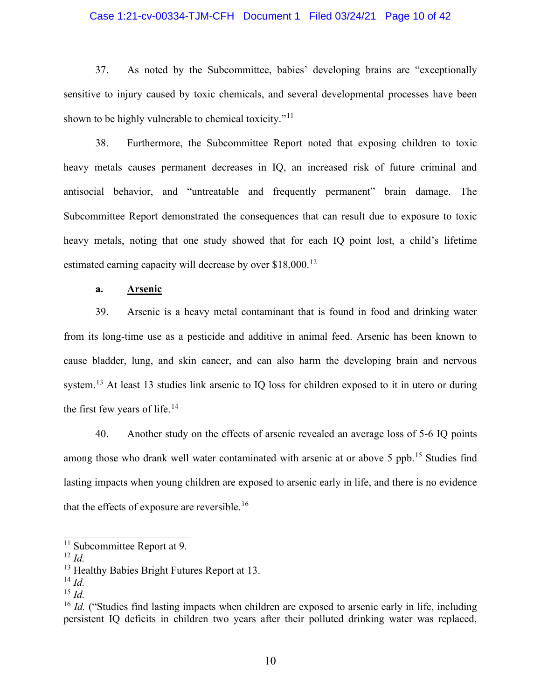#### Case 1:21-cv-00334-TJM-CFH Document 1 Filed 03/24/21 Page 10 of 42

37. As noted by the Subcommittee, babies' developing brains are "exceptionally sensitive to injury caused by toxic chemicals, and several developmental processes have been shown to be highly vulnerable to chemical toxicity."<sup>11</sup>

38. Furthermore, the Subcommittee Report noted that exposing children to toxic heavy metals causes permanent decreases in IQ, an increased risk of future criminal and antisocial behavior, and "untreatable and frequently permanent" brain damage. The Subcommittee Report demonstrated the consequences that can result due to exposure to toxic heavy metals, noting that one study showed that for each IQ point lost, a child's lifetime estimated earning capacity will decrease by over \$18,000.<sup>12</sup>

### **a. Arsenic**

39. Arsenic is a heavy metal contaminant that is found in food and drinking water from its long-time use as a pesticide and additive in animal feed. Arsenic has been known to cause bladder, lung, and skin cancer, and can also harm the developing brain and nervous system.<sup>13</sup> At least 13 studies link arsenic to IQ loss for children exposed to it in utero or during the first few years of life.<sup>14</sup>

40. Another study on the effects of arsenic revealed an average loss of 5-6 IQ points among those who drank well water contaminated with arsenic at or above 5 ppb.<sup>15</sup> Studies find lasting impacts when young children are exposed to arsenic early in life, and there is no evidence that the effects of exposure are reversible.<sup>16</sup>

- <sup>14</sup> *Id.*
- <sup>15</sup> *Id.*

<sup>&</sup>lt;sup>11</sup> Subcommittee Report at 9.

<sup>12</sup> *Id.*

<sup>&</sup>lt;sup>13</sup> Healthy Babies Bright Futures Report at 13.

<sup>&</sup>lt;sup>16</sup> *Id.* ("Studies find lasting impacts when children are exposed to arsenic early in life, including persistent IQ deficits in children two years after their polluted drinking water was replaced,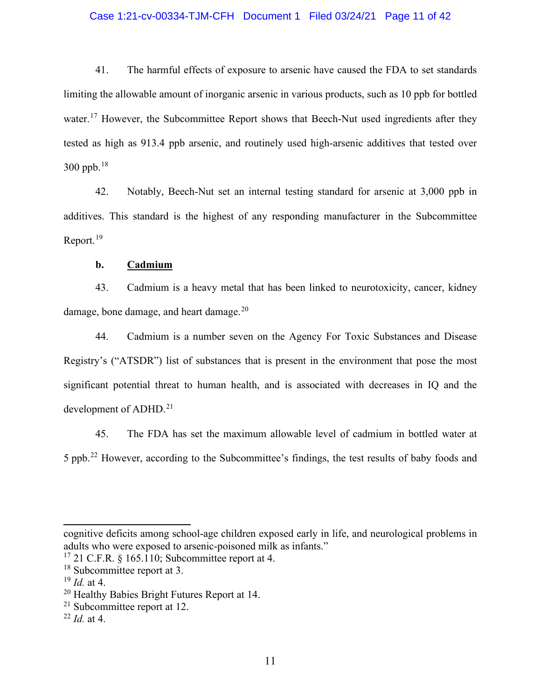#### Case 1:21-cv-00334-TJM-CFH Document 1 Filed 03/24/21 Page 11 of 42

41. The harmful effects of exposure to arsenic have caused the FDA to set standards limiting the allowable amount of inorganic arsenic in various products, such as 10 ppb for bottled water.<sup>17</sup> However, the Subcommittee Report shows that Beech-Nut used ingredients after they tested as high as 913.4 ppb arsenic, and routinely used high-arsenic additives that tested over  $300$  ppb.<sup>18</sup>

42. Notably, Beech-Nut set an internal testing standard for arsenic at 3,000 ppb in additives. This standard is the highest of any responding manufacturer in the Subcommittee Report.<sup>19</sup>

### **b. Cadmium**

43. Cadmium is a heavy metal that has been linked to neurotoxicity, cancer, kidney damage, bone damage, and heart damage. $20$ 

44. Cadmium is a number seven on the Agency For Toxic Substances and Disease Registry's ("ATSDR") list of substances that is present in the environment that pose the most significant potential threat to human health, and is associated with decreases in IQ and the development of ADHD. 21

45. The FDA has set the maximum allowable level of cadmium in bottled water at 5 ppb.<sup>22</sup> However, according to the Subcommittee's findings, the test results of baby foods and

cognitive deficits among school-age children exposed early in life, and neurological problems in adults who were exposed to arsenic-poisoned milk as infants."

 $17$  21 C.F.R. § 165.110; Subcommittee report at 4.

<sup>&</sup>lt;sup>18</sup> Subcommittee report at 3.

<sup>19</sup> *Id.* at 4.

<sup>&</sup>lt;sup>20</sup> Healthy Babies Bright Futures Report at 14.

<sup>21</sup> Subcommittee report at 12.

 $^{22}$  *Id.* at 4.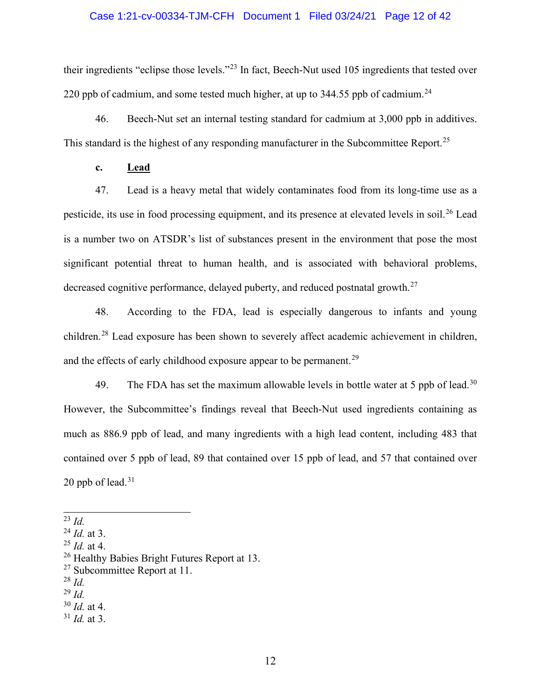# Case 1:21-cv-00334-TJM-CFH Document 1 Filed 03/24/21 Page 12 of 42

their ingredients "eclipse those levels."<sup>23</sup> In fact, Beech-Nut used 105 ingredients that tested over 220 ppb of cadmium, and some tested much higher, at up to 344.55 ppb of cadmium.<sup>24</sup>

46. Beech-Nut set an internal testing standard for cadmium at 3,000 ppb in additives. This standard is the highest of any responding manufacturer in the Subcommittee Report.<sup>25</sup>

**c. Lead**

47. Lead is a heavy metal that widely contaminates food from its long-time use as a pesticide, its use in food processing equipment, and its presence at elevated levels in soil.<sup>26</sup> Lead is a number two on ATSDR's list of substances present in the environment that pose the most significant potential threat to human health, and is associated with behavioral problems, decreased cognitive performance, delayed puberty, and reduced postnatal growth.<sup>27</sup>

48. According to the FDA, lead is especially dangerous to infants and young children.<sup>28</sup> Lead exposure has been shown to severely affect academic achievement in children, and the effects of early childhood exposure appear to be permanent.<sup>29</sup>

49. The FDA has set the maximum allowable levels in bottle water at 5 ppb of lead.<sup>30</sup> However, the Subcommittee's findings reveal that Beech-Nut used ingredients containing as much as 886.9 ppb of lead, and many ingredients with a high lead content, including 483 that contained over 5 ppb of lead, 89 that contained over 15 ppb of lead, and 57 that contained over 20 ppb of lead. $31$ 

<sup>29</sup> *Id.*

<sup>31</sup> *Id.* at 3.

<sup>23</sup> *Id.*

<sup>24</sup> *Id.* at 3.

<sup>25</sup> *Id.* at 4.

<sup>&</sup>lt;sup>26</sup> Healthy Babies Bright Futures Report at 13.

 $27$  Subcommittee Report at 11.

<sup>28</sup> *Id.*

<sup>30</sup> *Id.* at 4.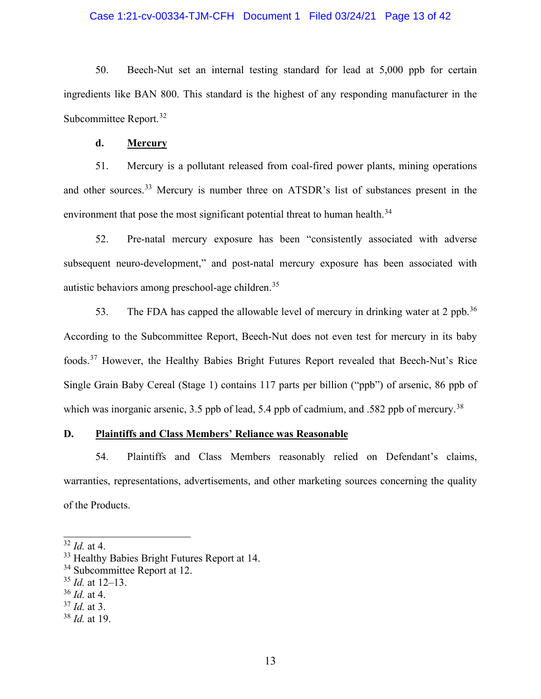#### Case 1:21-cv-00334-TJM-CFH Document 1 Filed 03/24/21 Page 13 of 42

50. Beech-Nut set an internal testing standard for lead at 5,000 ppb for certain ingredients like BAN 800. This standard is the highest of any responding manufacturer in the Subcommittee Report.<sup>32</sup>

#### **d. Mercury**

51. Mercury is a pollutant released from coal-fired power plants, mining operations and other sources.<sup>33</sup> Mercury is number three on ATSDR's list of substances present in the environment that pose the most significant potential threat to human health.<sup>34</sup>

52. Pre-natal mercury exposure has been "consistently associated with adverse subsequent neuro-development," and post-natal mercury exposure has been associated with autistic behaviors among preschool-age children. 35

53. The FDA has capped the allowable level of mercury in drinking water at 2 ppb.<sup>36</sup> According to the Subcommittee Report, Beech-Nut does not even test for mercury in its baby foods.<sup>37</sup> However, the Healthy Babies Bright Futures Report revealed that Beech-Nut's Rice Single Grain Baby Cereal (Stage 1) contains 117 parts per billion ("ppb") of arsenic, 86 ppb of which was inorganic arsenic, 3.5 ppb of lead, 5.4 ppb of cadmium, and .582 ppb of mercury.<sup>38</sup>

# **D. Plaintiffs and Class Members' Reliance was Reasonable**

54. Plaintiffs and Class Members reasonably relied on Defendant's claims, warranties, representations, advertisements, and other marketing sources concerning the quality of the Products.

<sup>32</sup> *Id.* at 4. 33 Healthy Babies Bright Futures Report at 14.

<sup>&</sup>lt;sup>34</sup> Subcommittee Report at 12.

<sup>35</sup> *Id.* at 12–13.

<sup>36</sup> *Id.* at 4.

<sup>37</sup> *Id.* at 3.

<sup>38</sup> *Id.* at 19.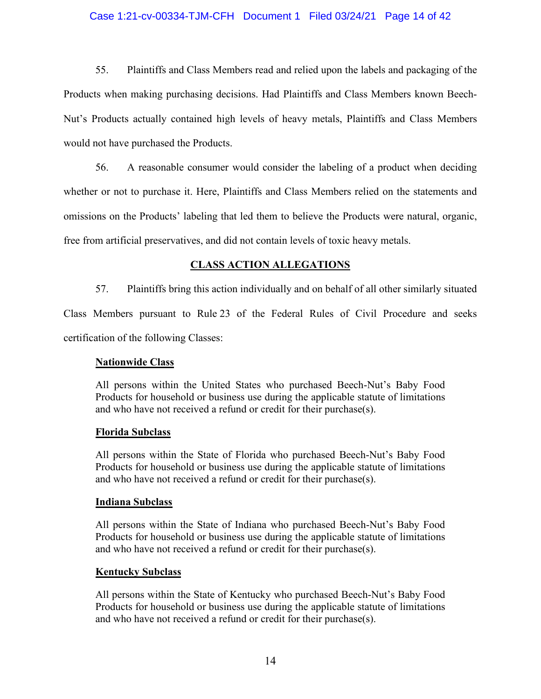### Case 1:21-cv-00334-TJM-CFH Document 1 Filed 03/24/21 Page 14 of 42

55. Plaintiffs and Class Members read and relied upon the labels and packaging of the Products when making purchasing decisions. Had Plaintiffs and Class Members known Beech-Nut's Products actually contained high levels of heavy metals, Plaintiffs and Class Members would not have purchased the Products.

56. A reasonable consumer would consider the labeling of a product when deciding whether or not to purchase it. Here, Plaintiffs and Class Members relied on the statements and omissions on the Products' labeling that led them to believe the Products were natural, organic, free from artificial preservatives, and did not contain levels of toxic heavy metals.

# **CLASS ACTION ALLEGATIONS**

57. Plaintiffs bring this action individually and on behalf of all other similarly situated Class Members pursuant to Rule 23 of the Federal Rules of Civil Procedure and seeks certification of the following Classes:

# **Nationwide Class**

All persons within the United States who purchased Beech-Nut's Baby Food Products for household or business use during the applicable statute of limitations and who have not received a refund or credit for their purchase(s).

# **Florida Subclass**

All persons within the State of Florida who purchased Beech-Nut's Baby Food Products for household or business use during the applicable statute of limitations and who have not received a refund or credit for their purchase(s).

# **Indiana Subclass**

All persons within the State of Indiana who purchased Beech-Nut's Baby Food Products for household or business use during the applicable statute of limitations and who have not received a refund or credit for their purchase(s).

# **Kentucky Subclass**

All persons within the State of Kentucky who purchased Beech-Nut's Baby Food Products for household or business use during the applicable statute of limitations and who have not received a refund or credit for their purchase(s).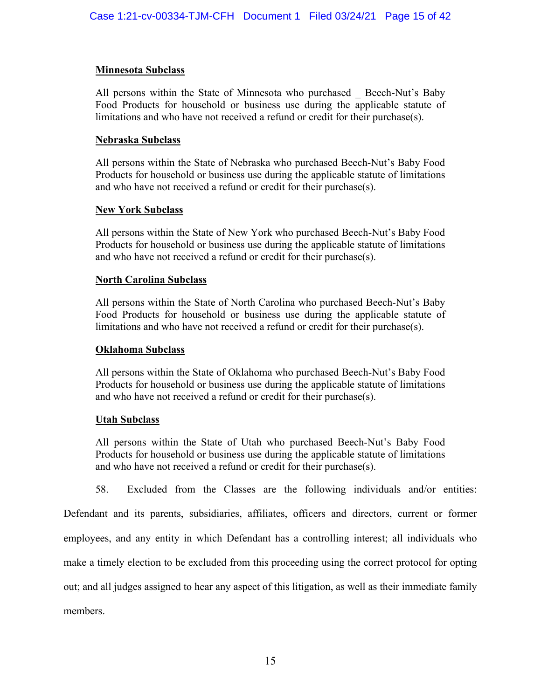# **Minnesota Subclass**

All persons within the State of Minnesota who purchased \_ Beech-Nut's Baby Food Products for household or business use during the applicable statute of limitations and who have not received a refund or credit for their purchase(s).

# **Nebraska Subclass**

All persons within the State of Nebraska who purchased Beech-Nut's Baby Food Products for household or business use during the applicable statute of limitations and who have not received a refund or credit for their purchase(s).

# **New York Subclass**

All persons within the State of New York who purchased Beech-Nut's Baby Food Products for household or business use during the applicable statute of limitations and who have not received a refund or credit for their purchase(s).

# **North Carolina Subclass**

All persons within the State of North Carolina who purchased Beech-Nut's Baby Food Products for household or business use during the applicable statute of limitations and who have not received a refund or credit for their purchase(s).

# **Oklahoma Subclass**

All persons within the State of Oklahoma who purchased Beech-Nut's Baby Food Products for household or business use during the applicable statute of limitations and who have not received a refund or credit for their purchase(s).

# **Utah Subclass**

All persons within the State of Utah who purchased Beech-Nut's Baby Food Products for household or business use during the applicable statute of limitations and who have not received a refund or credit for their purchase(s).

58. Excluded from the Classes are the following individuals and/or entities:

Defendant and its parents, subsidiaries, affiliates, officers and directors, current or former employees, and any entity in which Defendant has a controlling interest; all individuals who make a timely election to be excluded from this proceeding using the correct protocol for opting out; and all judges assigned to hear any aspect of this litigation, as well as their immediate family members.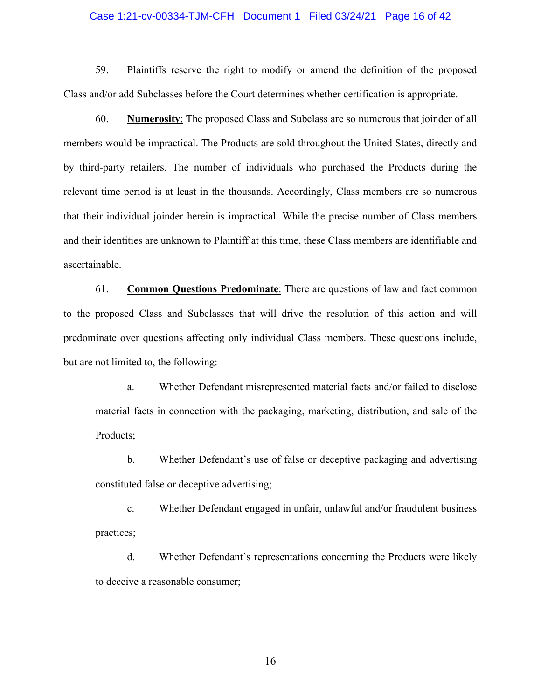#### Case 1:21-cv-00334-TJM-CFH Document 1 Filed 03/24/21 Page 16 of 42

59. Plaintiffs reserve the right to modify or amend the definition of the proposed Class and/or add Subclasses before the Court determines whether certification is appropriate.

60. **Numerosity**: The proposed Class and Subclass are so numerous that joinder of all members would be impractical. The Products are sold throughout the United States, directly and by third-party retailers. The number of individuals who purchased the Products during the relevant time period is at least in the thousands. Accordingly, Class members are so numerous that their individual joinder herein is impractical. While the precise number of Class members and their identities are unknown to Plaintiff at this time, these Class members are identifiable and ascertainable.

61. **Common Questions Predominate**: There are questions of law and fact common to the proposed Class and Subclasses that will drive the resolution of this action and will predominate over questions affecting only individual Class members. These questions include, but are not limited to, the following:

a. Whether Defendant misrepresented material facts and/or failed to disclose material facts in connection with the packaging, marketing, distribution, and sale of the Products;

b. Whether Defendant's use of false or deceptive packaging and advertising constituted false or deceptive advertising;

c. Whether Defendant engaged in unfair, unlawful and/or fraudulent business practices;

d. Whether Defendant's representations concerning the Products were likely to deceive a reasonable consumer;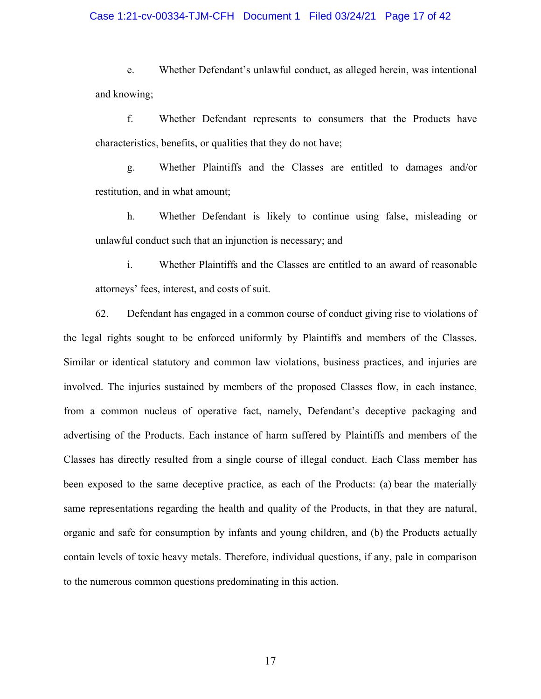#### Case 1:21-cv-00334-TJM-CFH Document 1 Filed 03/24/21 Page 17 of 42

e. Whether Defendant's unlawful conduct, as alleged herein, was intentional and knowing;

f. Whether Defendant represents to consumers that the Products have characteristics, benefits, or qualities that they do not have;

g. Whether Plaintiffs and the Classes are entitled to damages and/or restitution, and in what amount;

h. Whether Defendant is likely to continue using false, misleading or unlawful conduct such that an injunction is necessary; and

i. Whether Plaintiffs and the Classes are entitled to an award of reasonable attorneys' fees, interest, and costs of suit.

62. Defendant has engaged in a common course of conduct giving rise to violations of the legal rights sought to be enforced uniformly by Plaintiffs and members of the Classes. Similar or identical statutory and common law violations, business practices, and injuries are involved. The injuries sustained by members of the proposed Classes flow, in each instance, from a common nucleus of operative fact, namely, Defendant's deceptive packaging and advertising of the Products. Each instance of harm suffered by Plaintiffs and members of the Classes has directly resulted from a single course of illegal conduct. Each Class member has been exposed to the same deceptive practice, as each of the Products: (a) bear the materially same representations regarding the health and quality of the Products, in that they are natural, organic and safe for consumption by infants and young children, and (b) the Products actually contain levels of toxic heavy metals. Therefore, individual questions, if any, pale in comparison to the numerous common questions predominating in this action.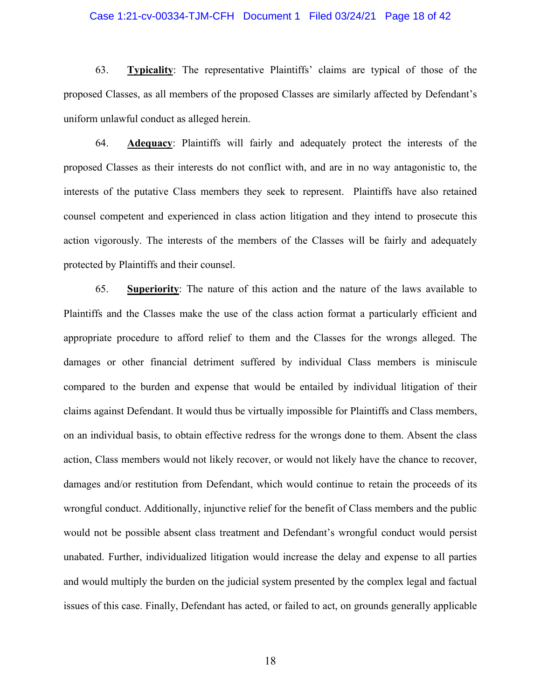#### Case 1:21-cv-00334-TJM-CFH Document 1 Filed 03/24/21 Page 18 of 42

63. **Typicality**: The representative Plaintiffs' claims are typical of those of the proposed Classes, as all members of the proposed Classes are similarly affected by Defendant's uniform unlawful conduct as alleged herein.

64. **Adequacy**: Plaintiffs will fairly and adequately protect the interests of the proposed Classes as their interests do not conflict with, and are in no way antagonistic to, the interests of the putative Class members they seek to represent. Plaintiffs have also retained counsel competent and experienced in class action litigation and they intend to prosecute this action vigorously. The interests of the members of the Classes will be fairly and adequately protected by Plaintiffs and their counsel.

65. **Superiority**: The nature of this action and the nature of the laws available to Plaintiffs and the Classes make the use of the class action format a particularly efficient and appropriate procedure to afford relief to them and the Classes for the wrongs alleged. The damages or other financial detriment suffered by individual Class members is miniscule compared to the burden and expense that would be entailed by individual litigation of their claims against Defendant. It would thus be virtually impossible for Plaintiffs and Class members, on an individual basis, to obtain effective redress for the wrongs done to them. Absent the class action, Class members would not likely recover, or would not likely have the chance to recover, damages and/or restitution from Defendant, which would continue to retain the proceeds of its wrongful conduct. Additionally, injunctive relief for the benefit of Class members and the public would not be possible absent class treatment and Defendant's wrongful conduct would persist unabated. Further, individualized litigation would increase the delay and expense to all parties and would multiply the burden on the judicial system presented by the complex legal and factual issues of this case. Finally, Defendant has acted, or failed to act, on grounds generally applicable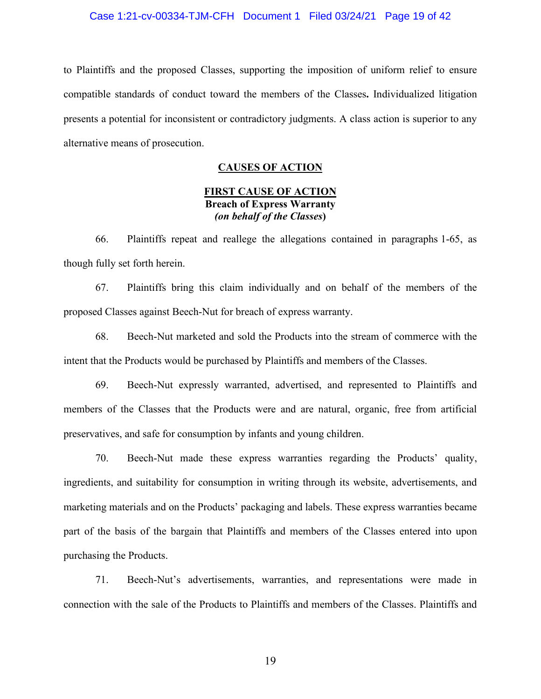#### Case 1:21-cv-00334-TJM-CFH Document 1 Filed 03/24/21 Page 19 of 42

to Plaintiffs and the proposed Classes, supporting the imposition of uniform relief to ensure compatible standards of conduct toward the members of the Classes**.** Individualized litigation presents a potential for inconsistent or contradictory judgments. A class action is superior to any alternative means of prosecution.

# **CAUSES OF ACTION**

# **FIRST CAUSE OF ACTION Breach of Express Warranty** *(on behalf of the Classes***)**

66. Plaintiffs repeat and reallege the allegations contained in paragraphs 1-65, as though fully set forth herein.

67. Plaintiffs bring this claim individually and on behalf of the members of the proposed Classes against Beech-Nut for breach of express warranty.

68. Beech-Nut marketed and sold the Products into the stream of commerce with the intent that the Products would be purchased by Plaintiffs and members of the Classes.

69. Beech-Nut expressly warranted, advertised, and represented to Plaintiffs and members of the Classes that the Products were and are natural, organic, free from artificial preservatives, and safe for consumption by infants and young children.

70. Beech-Nut made these express warranties regarding the Products' quality, ingredients, and suitability for consumption in writing through its website, advertisements, and marketing materials and on the Products' packaging and labels. These express warranties became part of the basis of the bargain that Plaintiffs and members of the Classes entered into upon purchasing the Products.

71. Beech-Nut's advertisements, warranties, and representations were made in connection with the sale of the Products to Plaintiffs and members of the Classes. Plaintiffs and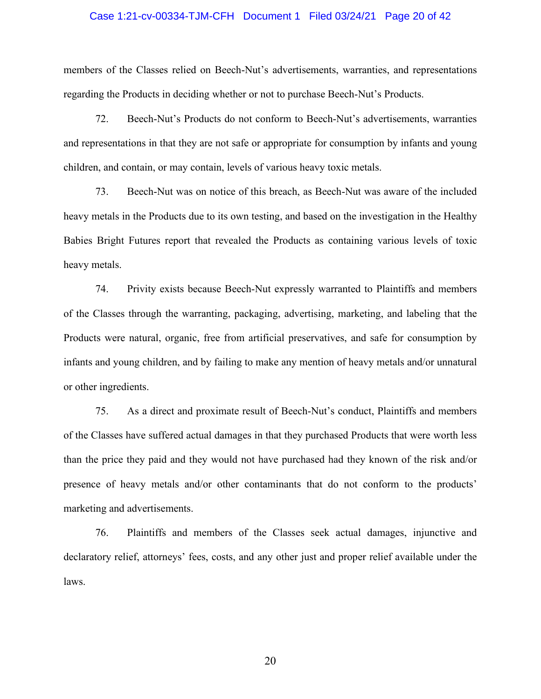#### Case 1:21-cv-00334-TJM-CFH Document 1 Filed 03/24/21 Page 20 of 42

members of the Classes relied on Beech-Nut's advertisements, warranties, and representations regarding the Products in deciding whether or not to purchase Beech-Nut's Products.

72. Beech-Nut's Products do not conform to Beech-Nut's advertisements, warranties and representations in that they are not safe or appropriate for consumption by infants and young children, and contain, or may contain, levels of various heavy toxic metals.

73. Beech-Nut was on notice of this breach, as Beech-Nut was aware of the included heavy metals in the Products due to its own testing, and based on the investigation in the Healthy Babies Bright Futures report that revealed the Products as containing various levels of toxic heavy metals.

74. Privity exists because Beech-Nut expressly warranted to Plaintiffs and members of the Classes through the warranting, packaging, advertising, marketing, and labeling that the Products were natural, organic, free from artificial preservatives, and safe for consumption by infants and young children, and by failing to make any mention of heavy metals and/or unnatural or other ingredients.

75. As a direct and proximate result of Beech-Nut's conduct, Plaintiffs and members of the Classes have suffered actual damages in that they purchased Products that were worth less than the price they paid and they would not have purchased had they known of the risk and/or presence of heavy metals and/or other contaminants that do not conform to the products' marketing and advertisements.

76. Plaintiffs and members of the Classes seek actual damages, injunctive and declaratory relief, attorneys' fees, costs, and any other just and proper relief available under the laws.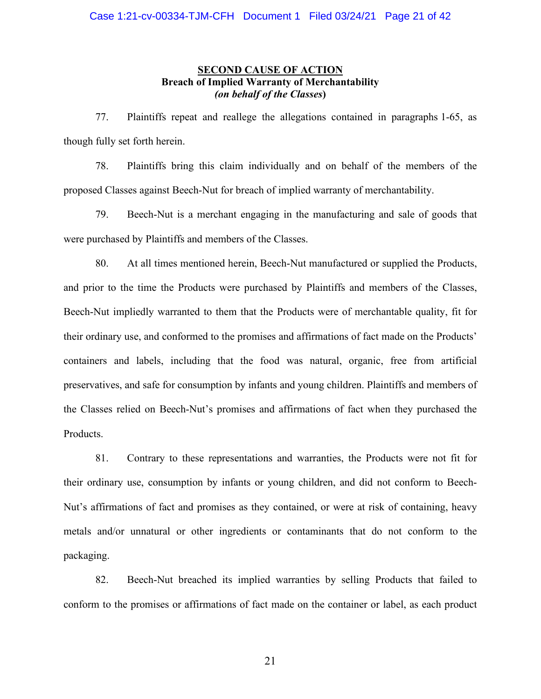# **SECOND CAUSE OF ACTION Breach of Implied Warranty of Merchantability** *(on behalf of the Classes***)**

77. Plaintiffs repeat and reallege the allegations contained in paragraphs 1-65, as though fully set forth herein.

78. Plaintiffs bring this claim individually and on behalf of the members of the proposed Classes against Beech-Nut for breach of implied warranty of merchantability.

79. Beech-Nut is a merchant engaging in the manufacturing and sale of goods that were purchased by Plaintiffs and members of the Classes.

80. At all times mentioned herein, Beech-Nut manufactured or supplied the Products, and prior to the time the Products were purchased by Plaintiffs and members of the Classes, Beech-Nut impliedly warranted to them that the Products were of merchantable quality, fit for their ordinary use, and conformed to the promises and affirmations of fact made on the Products' containers and labels, including that the food was natural, organic, free from artificial preservatives, and safe for consumption by infants and young children. Plaintiffs and members of the Classes relied on Beech-Nut's promises and affirmations of fact when they purchased the Products.

81. Contrary to these representations and warranties, the Products were not fit for their ordinary use, consumption by infants or young children, and did not conform to Beech-Nut's affirmations of fact and promises as they contained, or were at risk of containing, heavy metals and/or unnatural or other ingredients or contaminants that do not conform to the packaging.

82. Beech-Nut breached its implied warranties by selling Products that failed to conform to the promises or affirmations of fact made on the container or label, as each product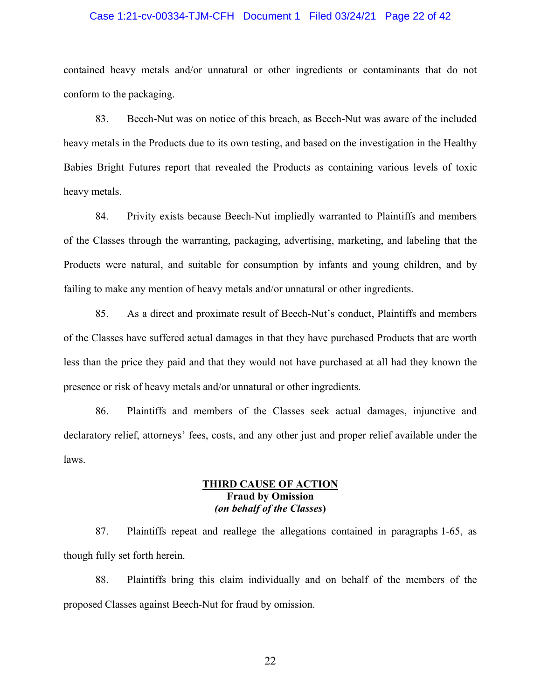#### Case 1:21-cv-00334-TJM-CFH Document 1 Filed 03/24/21 Page 22 of 42

contained heavy metals and/or unnatural or other ingredients or contaminants that do not conform to the packaging.

83. Beech-Nut was on notice of this breach, as Beech-Nut was aware of the included heavy metals in the Products due to its own testing, and based on the investigation in the Healthy Babies Bright Futures report that revealed the Products as containing various levels of toxic heavy metals.

84. Privity exists because Beech-Nut impliedly warranted to Plaintiffs and members of the Classes through the warranting, packaging, advertising, marketing, and labeling that the Products were natural, and suitable for consumption by infants and young children, and by failing to make any mention of heavy metals and/or unnatural or other ingredients.

85. As a direct and proximate result of Beech-Nut's conduct, Plaintiffs and members of the Classes have suffered actual damages in that they have purchased Products that are worth less than the price they paid and that they would not have purchased at all had they known the presence or risk of heavy metals and/or unnatural or other ingredients.

86. Plaintiffs and members of the Classes seek actual damages, injunctive and declaratory relief, attorneys' fees, costs, and any other just and proper relief available under the laws.

# **THIRD CAUSE OF ACTION Fraud by Omission** *(on behalf of the Classes***)**

87. Plaintiffs repeat and reallege the allegations contained in paragraphs 1-65, as though fully set forth herein.

88. Plaintiffs bring this claim individually and on behalf of the members of the proposed Classes against Beech-Nut for fraud by omission.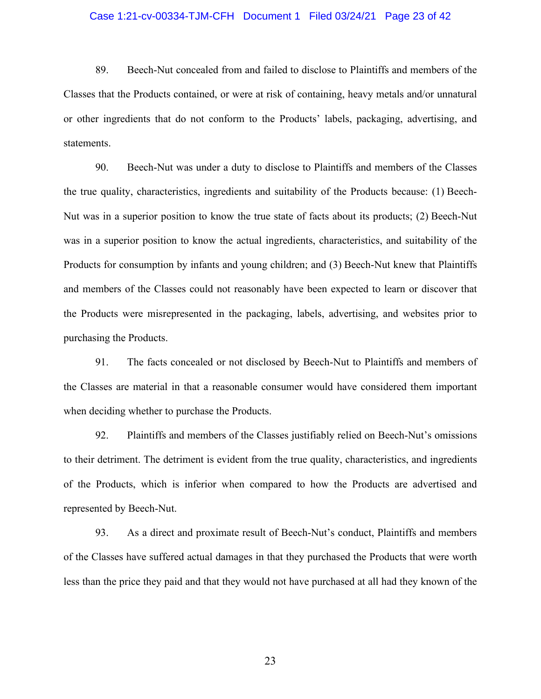#### Case 1:21-cv-00334-TJM-CFH Document 1 Filed 03/24/21 Page 23 of 42

89. Beech-Nut concealed from and failed to disclose to Plaintiffs and members of the Classes that the Products contained, or were at risk of containing, heavy metals and/or unnatural or other ingredients that do not conform to the Products' labels, packaging, advertising, and statements.

90. Beech-Nut was under a duty to disclose to Plaintiffs and members of the Classes the true quality, characteristics, ingredients and suitability of the Products because: (1) Beech-Nut was in a superior position to know the true state of facts about its products; (2) Beech-Nut was in a superior position to know the actual ingredients, characteristics, and suitability of the Products for consumption by infants and young children; and (3) Beech-Nut knew that Plaintiffs and members of the Classes could not reasonably have been expected to learn or discover that the Products were misrepresented in the packaging, labels, advertising, and websites prior to purchasing the Products.

91. The facts concealed or not disclosed by Beech-Nut to Plaintiffs and members of the Classes are material in that a reasonable consumer would have considered them important when deciding whether to purchase the Products.

92. Plaintiffs and members of the Classes justifiably relied on Beech-Nut's omissions to their detriment. The detriment is evident from the true quality, characteristics, and ingredients of the Products, which is inferior when compared to how the Products are advertised and represented by Beech-Nut.

93. As a direct and proximate result of Beech-Nut's conduct, Plaintiffs and members of the Classes have suffered actual damages in that they purchased the Products that were worth less than the price they paid and that they would not have purchased at all had they known of the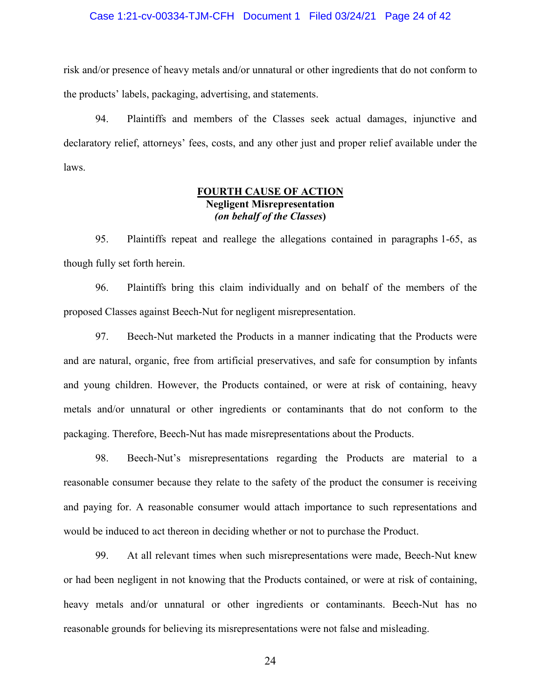#### Case 1:21-cv-00334-TJM-CFH Document 1 Filed 03/24/21 Page 24 of 42

risk and/or presence of heavy metals and/or unnatural or other ingredients that do not conform to the products' labels, packaging, advertising, and statements.

94. Plaintiffs and members of the Classes seek actual damages, injunctive and declaratory relief, attorneys' fees, costs, and any other just and proper relief available under the laws.

# **FOURTH CAUSE OF ACTION Negligent Misrepresentation**  *(on behalf of the Classes***)**

95. Plaintiffs repeat and reallege the allegations contained in paragraphs 1-65, as though fully set forth herein.

96. Plaintiffs bring this claim individually and on behalf of the members of the proposed Classes against Beech-Nut for negligent misrepresentation.

97. Beech-Nut marketed the Products in a manner indicating that the Products were and are natural, organic, free from artificial preservatives, and safe for consumption by infants and young children. However, the Products contained, or were at risk of containing, heavy metals and/or unnatural or other ingredients or contaminants that do not conform to the packaging. Therefore, Beech-Nut has made misrepresentations about the Products.

98. Beech-Nut's misrepresentations regarding the Products are material to a reasonable consumer because they relate to the safety of the product the consumer is receiving and paying for. A reasonable consumer would attach importance to such representations and would be induced to act thereon in deciding whether or not to purchase the Product.

99. At all relevant times when such misrepresentations were made, Beech-Nut knew or had been negligent in not knowing that the Products contained, or were at risk of containing, heavy metals and/or unnatural or other ingredients or contaminants. Beech-Nut has no reasonable grounds for believing its misrepresentations were not false and misleading.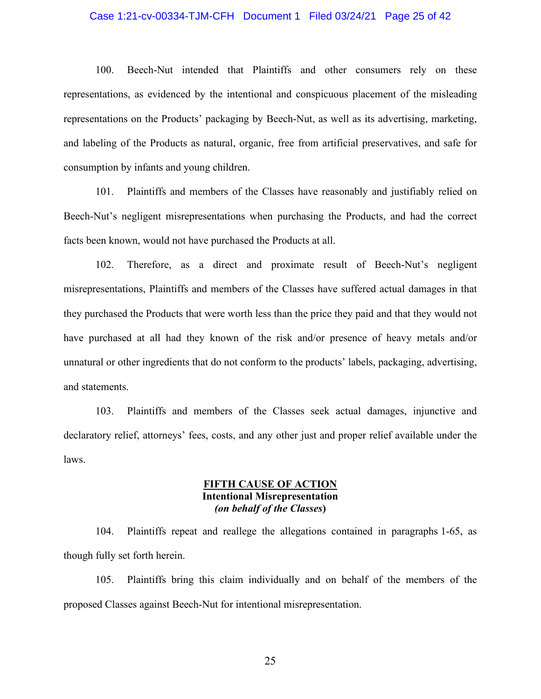#### Case 1:21-cv-00334-TJM-CFH Document 1 Filed 03/24/21 Page 25 of 42

100. Beech-Nut intended that Plaintiffs and other consumers rely on these representations, as evidenced by the intentional and conspicuous placement of the misleading representations on the Products' packaging by Beech-Nut, as well as its advertising, marketing, and labeling of the Products as natural, organic, free from artificial preservatives, and safe for consumption by infants and young children.

101. Plaintiffs and members of the Classes have reasonably and justifiably relied on Beech-Nut's negligent misrepresentations when purchasing the Products, and had the correct facts been known, would not have purchased the Products at all.

102. Therefore, as a direct and proximate result of Beech-Nut's negligent misrepresentations, Plaintiffs and members of the Classes have suffered actual damages in that they purchased the Products that were worth less than the price they paid and that they would not have purchased at all had they known of the risk and/or presence of heavy metals and/or unnatural or other ingredients that do not conform to the products' labels, packaging, advertising, and statements.

103. Plaintiffs and members of the Classes seek actual damages, injunctive and declaratory relief, attorneys' fees, costs, and any other just and proper relief available under the laws.

# **FIFTH CAUSE OF ACTION Intentional Misrepresentation**  *(on behalf of the Classes***)**

104. Plaintiffs repeat and reallege the allegations contained in paragraphs 1-65, as though fully set forth herein.

105. Plaintiffs bring this claim individually and on behalf of the members of the proposed Classes against Beech-Nut for intentional misrepresentation.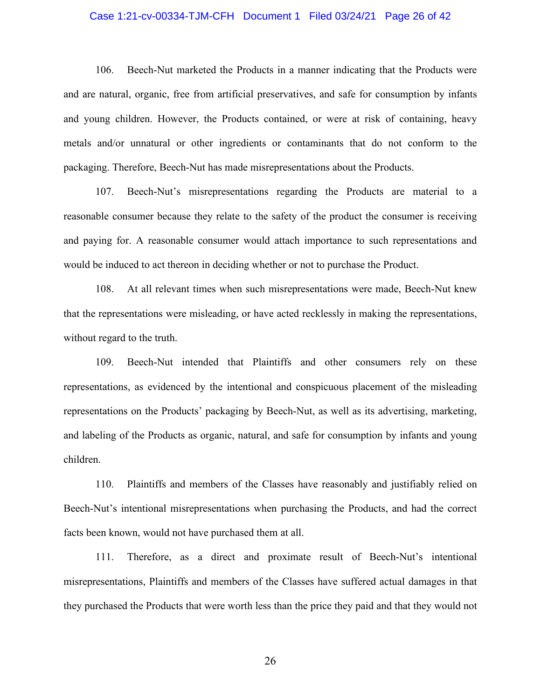#### Case 1:21-cv-00334-TJM-CFH Document 1 Filed 03/24/21 Page 26 of 42

106. Beech-Nut marketed the Products in a manner indicating that the Products were and are natural, organic, free from artificial preservatives, and safe for consumption by infants and young children. However, the Products contained, or were at risk of containing, heavy metals and/or unnatural or other ingredients or contaminants that do not conform to the packaging. Therefore, Beech-Nut has made misrepresentations about the Products.

107. Beech-Nut's misrepresentations regarding the Products are material to a reasonable consumer because they relate to the safety of the product the consumer is receiving and paying for. A reasonable consumer would attach importance to such representations and would be induced to act thereon in deciding whether or not to purchase the Product.

108. At all relevant times when such misrepresentations were made, Beech-Nut knew that the representations were misleading, or have acted recklessly in making the representations, without regard to the truth.

109. Beech-Nut intended that Plaintiffs and other consumers rely on these representations, as evidenced by the intentional and conspicuous placement of the misleading representations on the Products' packaging by Beech-Nut, as well as its advertising, marketing, and labeling of the Products as organic, natural, and safe for consumption by infants and young children.

110. Plaintiffs and members of the Classes have reasonably and justifiably relied on Beech-Nut's intentional misrepresentations when purchasing the Products, and had the correct facts been known, would not have purchased them at all.

111. Therefore, as a direct and proximate result of Beech-Nut's intentional misrepresentations, Plaintiffs and members of the Classes have suffered actual damages in that they purchased the Products that were worth less than the price they paid and that they would not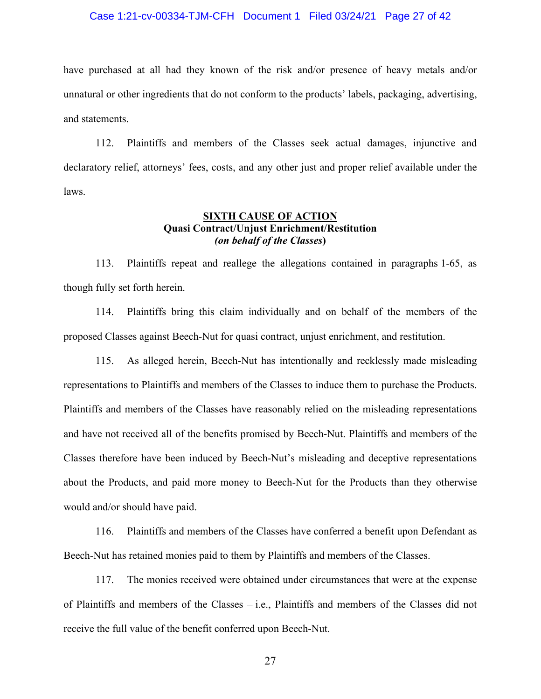#### Case 1:21-cv-00334-TJM-CFH Document 1 Filed 03/24/21 Page 27 of 42

have purchased at all had they known of the risk and/or presence of heavy metals and/or unnatural or other ingredients that do not conform to the products' labels, packaging, advertising, and statements.

112. Plaintiffs and members of the Classes seek actual damages, injunctive and declaratory relief, attorneys' fees, costs, and any other just and proper relief available under the laws.

# **SIXTH CAUSE OF ACTION Quasi Contract/Unjust Enrichment/Restitution** *(on behalf of the Classes***)**

113. Plaintiffs repeat and reallege the allegations contained in paragraphs 1-65, as though fully set forth herein.

114. Plaintiffs bring this claim individually and on behalf of the members of the proposed Classes against Beech-Nut for quasi contract, unjust enrichment, and restitution.

115. As alleged herein, Beech-Nut has intentionally and recklessly made misleading representations to Plaintiffs and members of the Classes to induce them to purchase the Products. Plaintiffs and members of the Classes have reasonably relied on the misleading representations and have not received all of the benefits promised by Beech-Nut. Plaintiffs and members of the Classes therefore have been induced by Beech-Nut's misleading and deceptive representations about the Products, and paid more money to Beech-Nut for the Products than they otherwise would and/or should have paid.

116. Plaintiffs and members of the Classes have conferred a benefit upon Defendant as Beech-Nut has retained monies paid to them by Plaintiffs and members of the Classes.

117. The monies received were obtained under circumstances that were at the expense of Plaintiffs and members of the Classes – i.e., Plaintiffs and members of the Classes did not receive the full value of the benefit conferred upon Beech-Nut.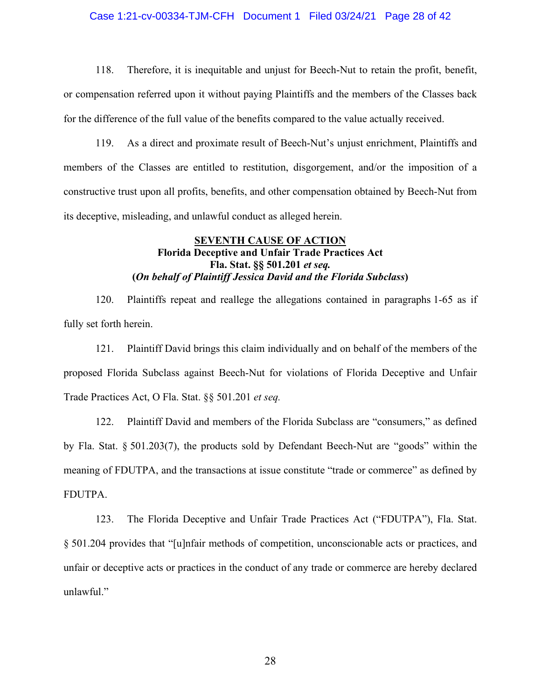#### Case 1:21-cv-00334-TJM-CFH Document 1 Filed 03/24/21 Page 28 of 42

118. Therefore, it is inequitable and unjust for Beech-Nut to retain the profit, benefit, or compensation referred upon it without paying Plaintiffs and the members of the Classes back for the difference of the full value of the benefits compared to the value actually received.

119. As a direct and proximate result of Beech-Nut's unjust enrichment, Plaintiffs and members of the Classes are entitled to restitution, disgorgement, and/or the imposition of a constructive trust upon all profits, benefits, and other compensation obtained by Beech-Nut from its deceptive, misleading, and unlawful conduct as alleged herein.

# **SEVENTH CAUSE OF ACTION Florida Deceptive and Unfair Trade Practices Act Fla. Stat. §§ 501.201** *et seq.* **(***On behalf of Plaintiff Jessica David and the Florida Subclass***)**

120. Plaintiffs repeat and reallege the allegations contained in paragraphs 1-65 as if fully set forth herein.

121. Plaintiff David brings this claim individually and on behalf of the members of the proposed Florida Subclass against Beech-Nut for violations of Florida Deceptive and Unfair Trade Practices Act, O Fla. Stat. §§ 501.201 *et seq.*

122. Plaintiff David and members of the Florida Subclass are "consumers," as defined by Fla. Stat. § 501.203(7), the products sold by Defendant Beech-Nut are "goods" within the meaning of FDUTPA, and the transactions at issue constitute "trade or commerce" as defined by FDUTPA.

123. The Florida Deceptive and Unfair Trade Practices Act ("FDUTPA"), Fla. Stat. § 501.204 provides that "[u]nfair methods of competition, unconscionable acts or practices, and unfair or deceptive acts or practices in the conduct of any trade or commerce are hereby declared unlawful."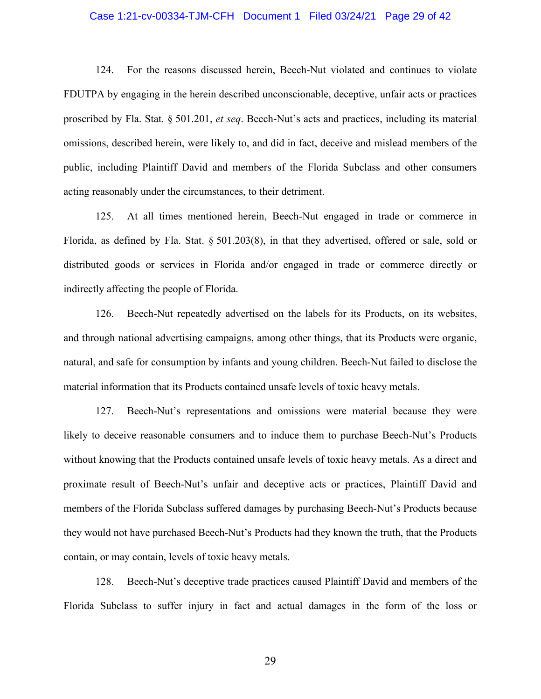#### Case 1:21-cv-00334-TJM-CFH Document 1 Filed 03/24/21 Page 29 of 42

124. For the reasons discussed herein, Beech-Nut violated and continues to violate FDUTPA by engaging in the herein described unconscionable, deceptive, unfair acts or practices proscribed by Fla. Stat. § 501.201, *et seq*. Beech-Nut's acts and practices, including its material omissions, described herein, were likely to, and did in fact, deceive and mislead members of the public, including Plaintiff David and members of the Florida Subclass and other consumers acting reasonably under the circumstances, to their detriment.

125. At all times mentioned herein, Beech-Nut engaged in trade or commerce in Florida, as defined by Fla. Stat. § 501.203(8), in that they advertised, offered or sale, sold or distributed goods or services in Florida and/or engaged in trade or commerce directly or indirectly affecting the people of Florida.

126. Beech-Nut repeatedly advertised on the labels for its Products, on its websites, and through national advertising campaigns, among other things, that its Products were organic, natural, and safe for consumption by infants and young children. Beech-Nut failed to disclose the material information that its Products contained unsafe levels of toxic heavy metals.

127. Beech-Nut's representations and omissions were material because they were likely to deceive reasonable consumers and to induce them to purchase Beech-Nut's Products without knowing that the Products contained unsafe levels of toxic heavy metals. As a direct and proximate result of Beech-Nut's unfair and deceptive acts or practices, Plaintiff David and members of the Florida Subclass suffered damages by purchasing Beech-Nut's Products because they would not have purchased Beech-Nut's Products had they known the truth, that the Products contain, or may contain, levels of toxic heavy metals.

128. Beech-Nut's deceptive trade practices caused Plaintiff David and members of the Florida Subclass to suffer injury in fact and actual damages in the form of the loss or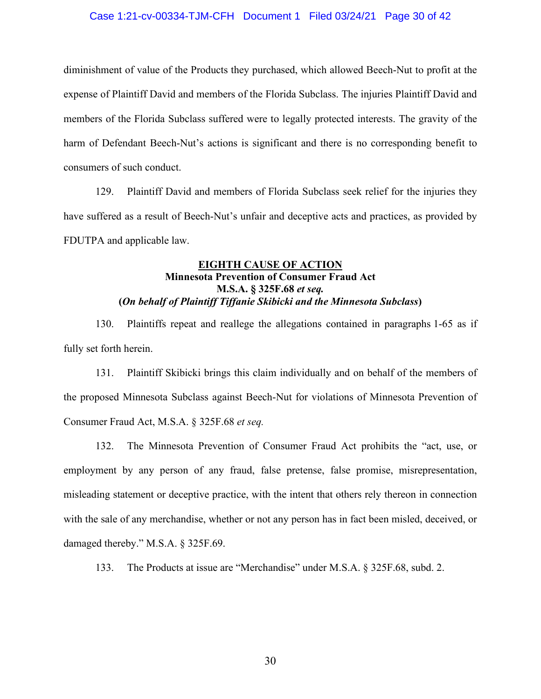#### Case 1:21-cv-00334-TJM-CFH Document 1 Filed 03/24/21 Page 30 of 42

diminishment of value of the Products they purchased, which allowed Beech-Nut to profit at the expense of Plaintiff David and members of the Florida Subclass. The injuries Plaintiff David and members of the Florida Subclass suffered were to legally protected interests. The gravity of the harm of Defendant Beech-Nut's actions is significant and there is no corresponding benefit to consumers of such conduct.

129. Plaintiff David and members of Florida Subclass seek relief for the injuries they have suffered as a result of Beech-Nut's unfair and deceptive acts and practices, as provided by FDUTPA and applicable law.

# **EIGHTH CAUSE OF ACTION Minnesota Prevention of Consumer Fraud Act M.S.A. § 325F.68** *et seq.* **(***On behalf of Plaintiff Tiffanie Skibicki and the Minnesota Subclass***)**

130. Plaintiffs repeat and reallege the allegations contained in paragraphs 1-65 as if fully set forth herein.

131. Plaintiff Skibicki brings this claim individually and on behalf of the members of the proposed Minnesota Subclass against Beech-Nut for violations of Minnesota Prevention of Consumer Fraud Act, M.S.A. § 325F.68 *et seq.*

132. The Minnesota Prevention of Consumer Fraud Act prohibits the "act, use, or employment by any person of any fraud, false pretense, false promise, misrepresentation, misleading statement or deceptive practice, with the intent that others rely thereon in connection with the sale of any merchandise, whether or not any person has in fact been misled, deceived, or damaged thereby." M.S.A. § 325F.69.

133. The Products at issue are "Merchandise" under M.S.A. § 325F.68, subd. 2.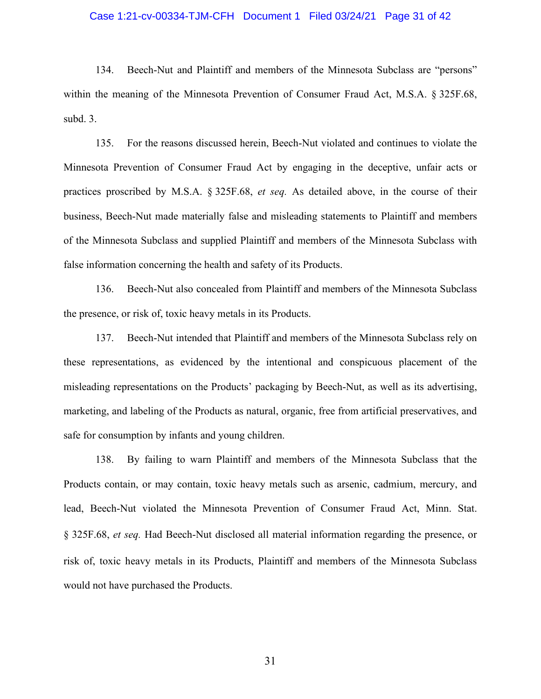#### Case 1:21-cv-00334-TJM-CFH Document 1 Filed 03/24/21 Page 31 of 42

134. Beech-Nut and Plaintiff and members of the Minnesota Subclass are "persons" within the meaning of the Minnesota Prevention of Consumer Fraud Act, M.S.A. § 325F.68, subd. 3.

135. For the reasons discussed herein, Beech-Nut violated and continues to violate the Minnesota Prevention of Consumer Fraud Act by engaging in the deceptive, unfair acts or practices proscribed by M.S.A. § 325F.68, *et seq.* As detailed above, in the course of their business, Beech-Nut made materially false and misleading statements to Plaintiff and members of the Minnesota Subclass and supplied Plaintiff and members of the Minnesota Subclass with false information concerning the health and safety of its Products.

136. Beech-Nut also concealed from Plaintiff and members of the Minnesota Subclass the presence, or risk of, toxic heavy metals in its Products.

137. Beech-Nut intended that Plaintiff and members of the Minnesota Subclass rely on these representations, as evidenced by the intentional and conspicuous placement of the misleading representations on the Products' packaging by Beech-Nut, as well as its advertising, marketing, and labeling of the Products as natural, organic, free from artificial preservatives, and safe for consumption by infants and young children.

138. By failing to warn Plaintiff and members of the Minnesota Subclass that the Products contain, or may contain, toxic heavy metals such as arsenic, cadmium, mercury, and lead, Beech-Nut violated the Minnesota Prevention of Consumer Fraud Act, Minn. Stat. § 325F.68, *et seq.* Had Beech-Nut disclosed all material information regarding the presence, or risk of, toxic heavy metals in its Products, Plaintiff and members of the Minnesota Subclass would not have purchased the Products.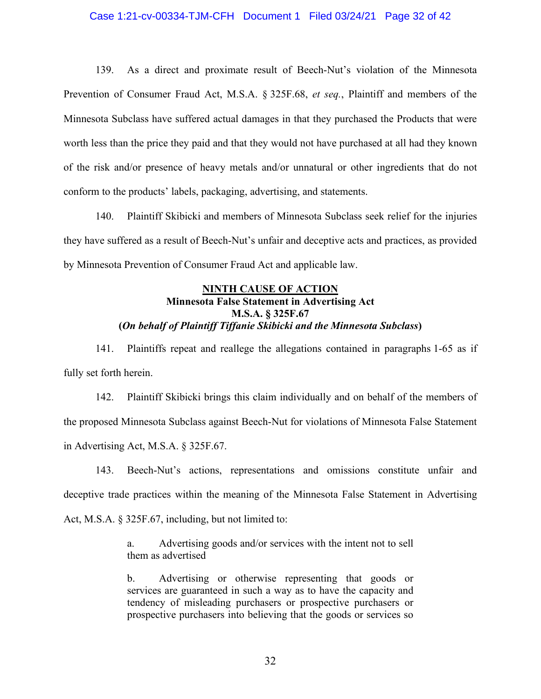#### Case 1:21-cv-00334-TJM-CFH Document 1 Filed 03/24/21 Page 32 of 42

139. As a direct and proximate result of Beech-Nut's violation of the Minnesota Prevention of Consumer Fraud Act, M.S.A. § 325F.68, *et seq.*, Plaintiff and members of the Minnesota Subclass have suffered actual damages in that they purchased the Products that were worth less than the price they paid and that they would not have purchased at all had they known of the risk and/or presence of heavy metals and/or unnatural or other ingredients that do not conform to the products' labels, packaging, advertising, and statements.

140. Plaintiff Skibicki and members of Minnesota Subclass seek relief for the injuries they have suffered as a result of Beech-Nut's unfair and deceptive acts and practices, as provided by Minnesota Prevention of Consumer Fraud Act and applicable law.

# **NINTH CAUSE OF ACTION Minnesota False Statement in Advertising Act M.S.A. § 325F.67 (***On behalf of Plaintiff Tiffanie Skibicki and the Minnesota Subclass***)**

141. Plaintiffs repeat and reallege the allegations contained in paragraphs 1-65 as if fully set forth herein.

142. Plaintiff Skibicki brings this claim individually and on behalf of the members of the proposed Minnesota Subclass against Beech-Nut for violations of Minnesota False Statement in Advertising Act, M.S.A. § 325F.67.

143. Beech-Nut's actions, representations and omissions constitute unfair and deceptive trade practices within the meaning of the Minnesota False Statement in Advertising Act, M.S.A. § 325F.67, including, but not limited to:

> a. Advertising goods and/or services with the intent not to sell them as advertised

> b. Advertising or otherwise representing that goods or services are guaranteed in such a way as to have the capacity and tendency of misleading purchasers or prospective purchasers or prospective purchasers into believing that the goods or services so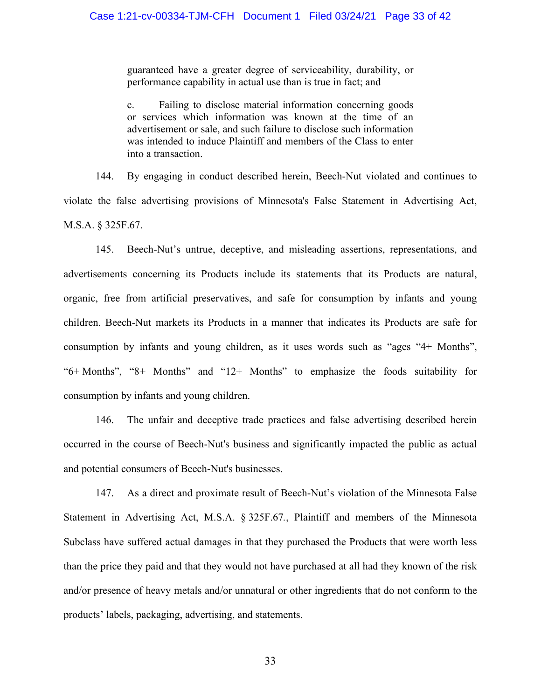guaranteed have a greater degree of serviceability, durability, or performance capability in actual use than is true in fact; and

c. Failing to disclose material information concerning goods or services which information was known at the time of an advertisement or sale, and such failure to disclose such information was intended to induce Plaintiff and members of the Class to enter into a transaction.

144. By engaging in conduct described herein, Beech-Nut violated and continues to violate the false advertising provisions of Minnesota's False Statement in Advertising Act, M.S.A. § 325F.67.

145. Beech-Nut's untrue, deceptive, and misleading assertions, representations, and advertisements concerning its Products include its statements that its Products are natural, organic, free from artificial preservatives, and safe for consumption by infants and young children. Beech-Nut markets its Products in a manner that indicates its Products are safe for consumption by infants and young children, as it uses words such as "ages "4+ Months", "6+ Months", "8+ Months" and "12+ Months" to emphasize the foods suitability for consumption by infants and young children.

146. The unfair and deceptive trade practices and false advertising described herein occurred in the course of Beech-Nut's business and significantly impacted the public as actual and potential consumers of Beech-Nut's businesses.

147. As a direct and proximate result of Beech-Nut's violation of the Minnesota False Statement in Advertising Act, M.S.A. § 325F.67*.*, Plaintiff and members of the Minnesota Subclass have suffered actual damages in that they purchased the Products that were worth less than the price they paid and that they would not have purchased at all had they known of the risk and/or presence of heavy metals and/or unnatural or other ingredients that do not conform to the products' labels, packaging, advertising, and statements.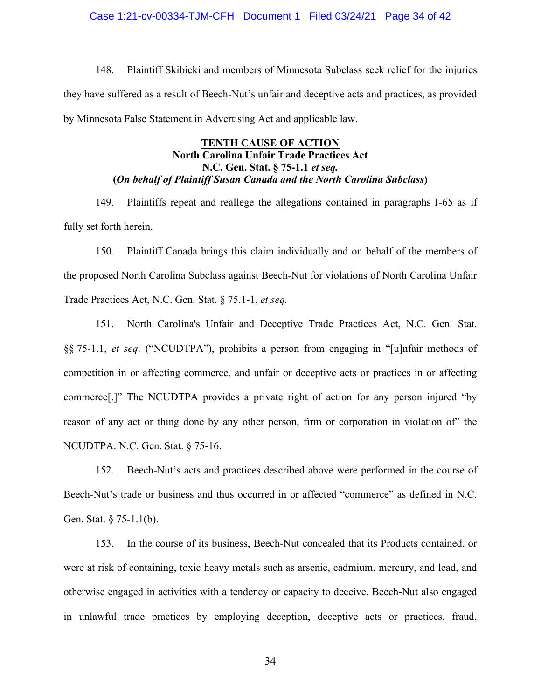#### Case 1:21-cv-00334-TJM-CFH Document 1 Filed 03/24/21 Page 34 of 42

148. Plaintiff Skibicki and members of Minnesota Subclass seek relief for the injuries they have suffered as a result of Beech-Nut's unfair and deceptive acts and practices, as provided by Minnesota False Statement in Advertising Act and applicable law.

# **TENTH CAUSE OF ACTION North Carolina Unfair Trade Practices Act N.C. Gen. Stat. § 75-1.1** *et seq.* **(***On behalf of Plaintiff Susan Canada and the North Carolina Subclass***)**

149. Plaintiffs repeat and reallege the allegations contained in paragraphs 1-65 as if fully set forth herein.

150. Plaintiff Canada brings this claim individually and on behalf of the members of the proposed North Carolina Subclass against Beech-Nut for violations of North Carolina Unfair Trade Practices Act, N.C. Gen. Stat. § 75.1-1, *et seq.*

151. North Carolina's Unfair and Deceptive Trade Practices Act, N.C. Gen. Stat. §§ 75-1.1, *et seq*. ("NCUDTPA"), prohibits a person from engaging in "[u]nfair methods of competition in or affecting commerce, and unfair or deceptive acts or practices in or affecting commerce[.]" The NCUDTPA provides a private right of action for any person injured "by reason of any act or thing done by any other person, firm or corporation in violation of" the NCUDTPA. N.C. Gen. Stat. § 75-16.

152. Beech-Nut's acts and practices described above were performed in the course of Beech-Nut's trade or business and thus occurred in or affected "commerce" as defined in N.C. Gen. Stat. § 75-1.1(b).

153. In the course of its business, Beech-Nut concealed that its Products contained, or were at risk of containing, toxic heavy metals such as arsenic, cadmium, mercury, and lead, and otherwise engaged in activities with a tendency or capacity to deceive. Beech-Nut also engaged in unlawful trade practices by employing deception, deceptive acts or practices, fraud,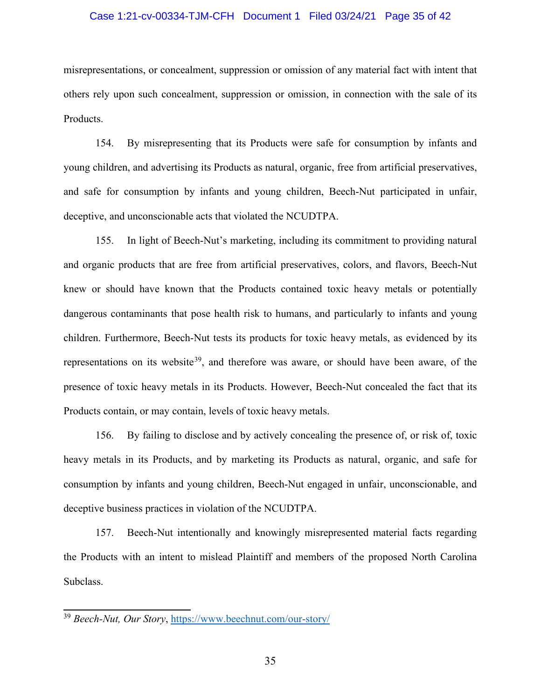#### Case 1:21-cv-00334-TJM-CFH Document 1 Filed 03/24/21 Page 35 of 42

misrepresentations, or concealment, suppression or omission of any material fact with intent that others rely upon such concealment, suppression or omission, in connection with the sale of its Products.

154. By misrepresenting that its Products were safe for consumption by infants and young children, and advertising its Products as natural, organic, free from artificial preservatives, and safe for consumption by infants and young children, Beech-Nut participated in unfair, deceptive, and unconscionable acts that violated the NCUDTPA.

155. In light of Beech-Nut's marketing, including its commitment to providing natural and organic products that are free from artificial preservatives, colors, and flavors, Beech-Nut knew or should have known that the Products contained toxic heavy metals or potentially dangerous contaminants that pose health risk to humans, and particularly to infants and young children. Furthermore, Beech-Nut tests its products for toxic heavy metals, as evidenced by its representations on its website<sup>39</sup>, and therefore was aware, or should have been aware, of the presence of toxic heavy metals in its Products. However, Beech-Nut concealed the fact that its Products contain, or may contain, levels of toxic heavy metals.

156. By failing to disclose and by actively concealing the presence of, or risk of, toxic heavy metals in its Products, and by marketing its Products as natural, organic, and safe for consumption by infants and young children, Beech-Nut engaged in unfair, unconscionable, and deceptive business practices in violation of the NCUDTPA.

157. Beech-Nut intentionally and knowingly misrepresented material facts regarding the Products with an intent to mislead Plaintiff and members of the proposed North Carolina Subclass.

<sup>39</sup> *Beech-Nut, Our Story*, https://www.beechnut.com/our-story/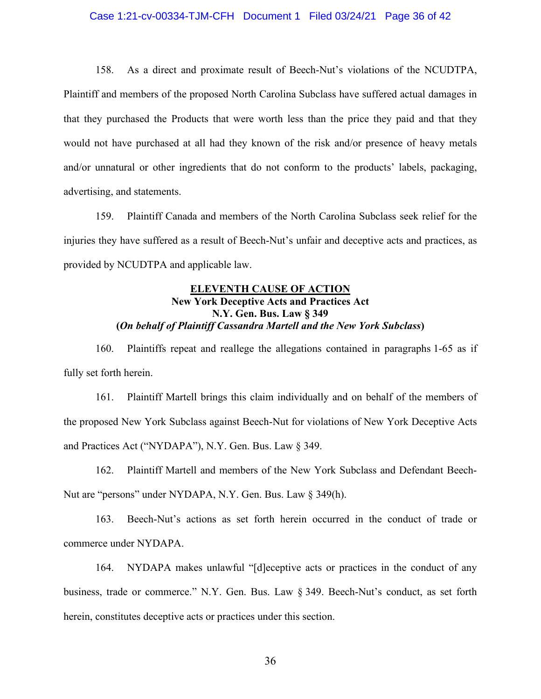#### Case 1:21-cv-00334-TJM-CFH Document 1 Filed 03/24/21 Page 36 of 42

158. As a direct and proximate result of Beech-Nut's violations of the NCUDTPA, Plaintiff and members of the proposed North Carolina Subclass have suffered actual damages in that they purchased the Products that were worth less than the price they paid and that they would not have purchased at all had they known of the risk and/or presence of heavy metals and/or unnatural or other ingredients that do not conform to the products' labels, packaging, advertising, and statements.

159. Plaintiff Canada and members of the North Carolina Subclass seek relief for the injuries they have suffered as a result of Beech-Nut's unfair and deceptive acts and practices, as provided by NCUDTPA and applicable law.

# **ELEVENTH CAUSE OF ACTION New York Deceptive Acts and Practices Act N.Y. Gen. Bus. Law § 349 (***On behalf of Plaintiff Cassandra Martell and the New York Subclass***)**

160. Plaintiffs repeat and reallege the allegations contained in paragraphs 1-65 as if fully set forth herein.

161. Plaintiff Martell brings this claim individually and on behalf of the members of the proposed New York Subclass against Beech-Nut for violations of New York Deceptive Acts and Practices Act ("NYDAPA"), N.Y. Gen. Bus. Law § 349.

162. Plaintiff Martell and members of the New York Subclass and Defendant Beech-Nut are "persons" under NYDAPA, N.Y. Gen. Bus. Law § 349(h).

163. Beech-Nut's actions as set forth herein occurred in the conduct of trade or commerce under NYDAPA.

164. NYDAPA makes unlawful "[d]eceptive acts or practices in the conduct of any business, trade or commerce." N.Y. Gen. Bus. Law § 349. Beech-Nut's conduct, as set forth herein, constitutes deceptive acts or practices under this section.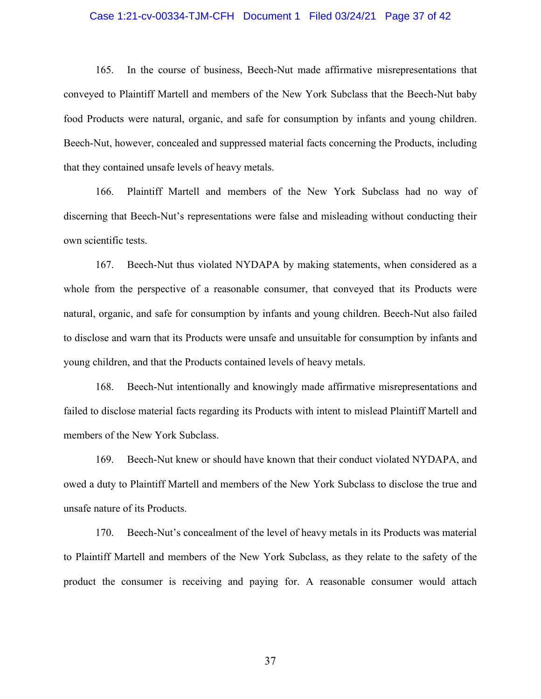#### Case 1:21-cv-00334-TJM-CFH Document 1 Filed 03/24/21 Page 37 of 42

165. In the course of business, Beech-Nut made affirmative misrepresentations that conveyed to Plaintiff Martell and members of the New York Subclass that the Beech-Nut baby food Products were natural, organic, and safe for consumption by infants and young children. Beech-Nut, however, concealed and suppressed material facts concerning the Products, including that they contained unsafe levels of heavy metals.

166. Plaintiff Martell and members of the New York Subclass had no way of discerning that Beech-Nut's representations were false and misleading without conducting their own scientific tests.

167. Beech-Nut thus violated NYDAPA by making statements, when considered as a whole from the perspective of a reasonable consumer, that conveyed that its Products were natural, organic, and safe for consumption by infants and young children. Beech-Nut also failed to disclose and warn that its Products were unsafe and unsuitable for consumption by infants and young children, and that the Products contained levels of heavy metals.

168. Beech-Nut intentionally and knowingly made affirmative misrepresentations and failed to disclose material facts regarding its Products with intent to mislead Plaintiff Martell and members of the New York Subclass.

169. Beech-Nut knew or should have known that their conduct violated NYDAPA, and owed a duty to Plaintiff Martell and members of the New York Subclass to disclose the true and unsafe nature of its Products.

170. Beech-Nut's concealment of the level of heavy metals in its Products was material to Plaintiff Martell and members of the New York Subclass, as they relate to the safety of the product the consumer is receiving and paying for. A reasonable consumer would attach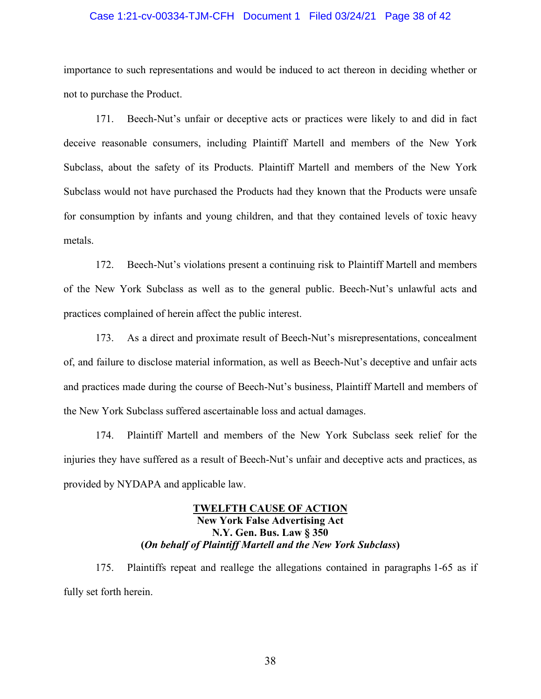#### Case 1:21-cv-00334-TJM-CFH Document 1 Filed 03/24/21 Page 38 of 42

importance to such representations and would be induced to act thereon in deciding whether or not to purchase the Product.

171. Beech-Nut's unfair or deceptive acts or practices were likely to and did in fact deceive reasonable consumers, including Plaintiff Martell and members of the New York Subclass, about the safety of its Products. Plaintiff Martell and members of the New York Subclass would not have purchased the Products had they known that the Products were unsafe for consumption by infants and young children, and that they contained levels of toxic heavy metals.

172. Beech-Nut's violations present a continuing risk to Plaintiff Martell and members of the New York Subclass as well as to the general public. Beech-Nut's unlawful acts and practices complained of herein affect the public interest.

173. As a direct and proximate result of Beech-Nut's misrepresentations, concealment of, and failure to disclose material information, as well as Beech-Nut's deceptive and unfair acts and practices made during the course of Beech-Nut's business, Plaintiff Martell and members of the New York Subclass suffered ascertainable loss and actual damages.

174. Plaintiff Martell and members of the New York Subclass seek relief for the injuries they have suffered as a result of Beech-Nut's unfair and deceptive acts and practices, as provided by NYDAPA and applicable law.

# **TWELFTH CAUSE OF ACTION New York False Advertising Act N.Y. Gen. Bus. Law § 350 (***On behalf of Plaintiff Martell and the New York Subclass***)**

175. Plaintiffs repeat and reallege the allegations contained in paragraphs 1-65 as if fully set forth herein.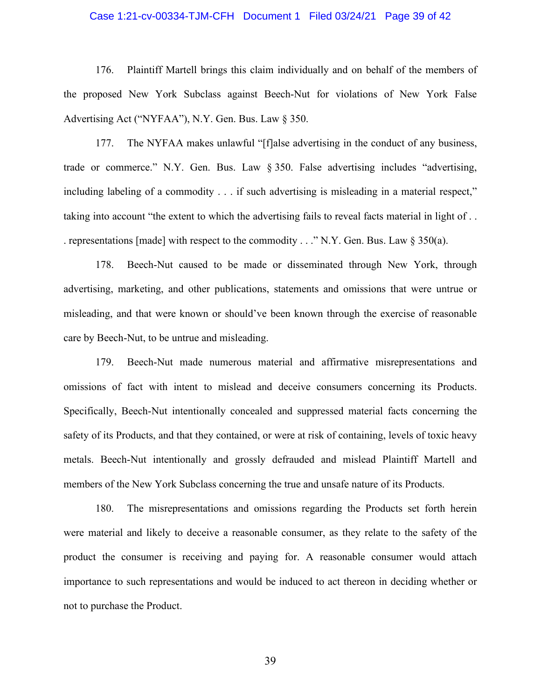#### Case 1:21-cv-00334-TJM-CFH Document 1 Filed 03/24/21 Page 39 of 42

176. Plaintiff Martell brings this claim individually and on behalf of the members of the proposed New York Subclass against Beech-Nut for violations of New York False Advertising Act ("NYFAA"), N.Y. Gen. Bus. Law § 350.

177. The NYFAA makes unlawful "[f]alse advertising in the conduct of any business, trade or commerce." N.Y. Gen. Bus. Law § 350. False advertising includes "advertising, including labeling of a commodity . . . if such advertising is misleading in a material respect," taking into account "the extent to which the advertising fails to reveal facts material in light of . . . representations [made] with respect to the commodity . . ." N.Y. Gen. Bus. Law § 350(a).

178. Beech-Nut caused to be made or disseminated through New York, through advertising, marketing, and other publications, statements and omissions that were untrue or misleading, and that were known or should've been known through the exercise of reasonable care by Beech-Nut, to be untrue and misleading.

179. Beech-Nut made numerous material and affirmative misrepresentations and omissions of fact with intent to mislead and deceive consumers concerning its Products. Specifically, Beech-Nut intentionally concealed and suppressed material facts concerning the safety of its Products, and that they contained, or were at risk of containing, levels of toxic heavy metals. Beech-Nut intentionally and grossly defrauded and mislead Plaintiff Martell and members of the New York Subclass concerning the true and unsafe nature of its Products.

180. The misrepresentations and omissions regarding the Products set forth herein were material and likely to deceive a reasonable consumer, as they relate to the safety of the product the consumer is receiving and paying for. A reasonable consumer would attach importance to such representations and would be induced to act thereon in deciding whether or not to purchase the Product.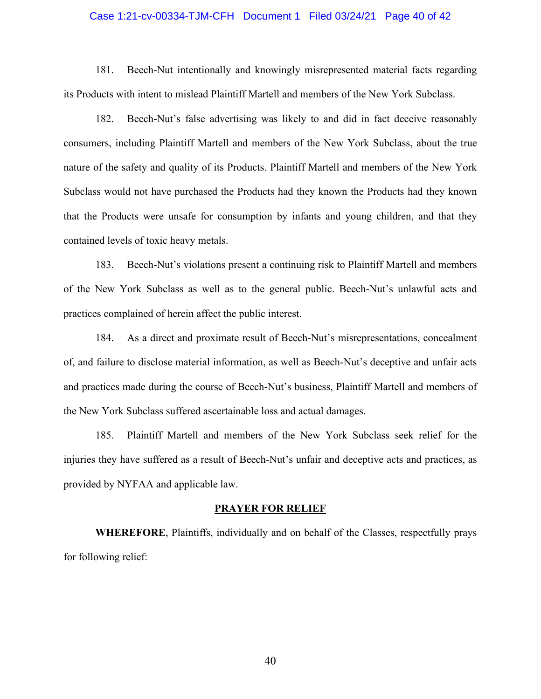#### Case 1:21-cv-00334-TJM-CFH Document 1 Filed 03/24/21 Page 40 of 42

181. Beech-Nut intentionally and knowingly misrepresented material facts regarding its Products with intent to mislead Plaintiff Martell and members of the New York Subclass.

182. Beech-Nut's false advertising was likely to and did in fact deceive reasonably consumers, including Plaintiff Martell and members of the New York Subclass, about the true nature of the safety and quality of its Products. Plaintiff Martell and members of the New York Subclass would not have purchased the Products had they known the Products had they known that the Products were unsafe for consumption by infants and young children, and that they contained levels of toxic heavy metals.

183. Beech-Nut's violations present a continuing risk to Plaintiff Martell and members of the New York Subclass as well as to the general public. Beech-Nut's unlawful acts and practices complained of herein affect the public interest.

184. As a direct and proximate result of Beech-Nut's misrepresentations, concealment of, and failure to disclose material information, as well as Beech-Nut's deceptive and unfair acts and practices made during the course of Beech-Nut's business, Plaintiff Martell and members of the New York Subclass suffered ascertainable loss and actual damages.

185. Plaintiff Martell and members of the New York Subclass seek relief for the injuries they have suffered as a result of Beech-Nut's unfair and deceptive acts and practices, as provided by NYFAA and applicable law.

#### **PRAYER FOR RELIEF**

**WHEREFORE**, Plaintiffs, individually and on behalf of the Classes, respectfully prays for following relief: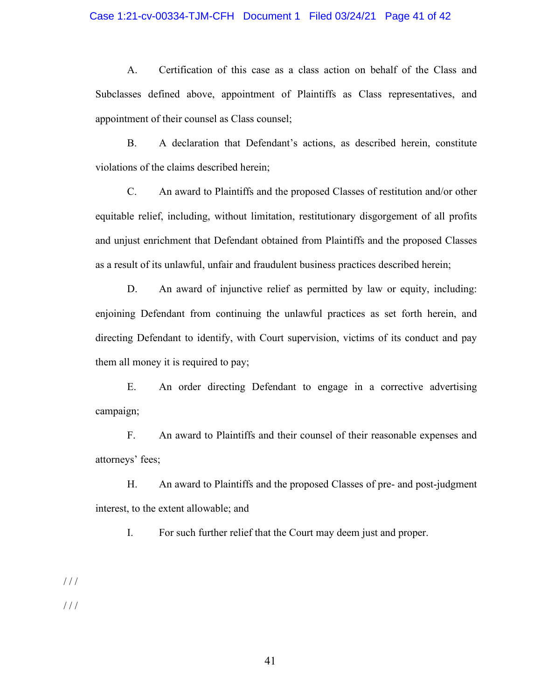#### Case 1:21-cv-00334-TJM-CFH Document 1 Filed 03/24/21 Page 41 of 42

A. Certification of this case as a class action on behalf of the Class and Subclasses defined above, appointment of Plaintiffs as Class representatives, and appointment of their counsel as Class counsel;

B. A declaration that Defendant's actions, as described herein, constitute violations of the claims described herein;

C. An award to Plaintiffs and the proposed Classes of restitution and/or other equitable relief, including, without limitation, restitutionary disgorgement of all profits and unjust enrichment that Defendant obtained from Plaintiffs and the proposed Classes as a result of its unlawful, unfair and fraudulent business practices described herein;

D. An award of injunctive relief as permitted by law or equity, including: enjoining Defendant from continuing the unlawful practices as set forth herein, and directing Defendant to identify, with Court supervision, victims of its conduct and pay them all money it is required to pay;

E. An order directing Defendant to engage in a corrective advertising campaign;

F. An award to Plaintiffs and their counsel of their reasonable expenses and attorneys' fees;

H. An award to Plaintiffs and the proposed Classes of pre- and post-judgment interest, to the extent allowable; and

I. For such further relief that the Court may deem just and proper.

/ / /

/ / /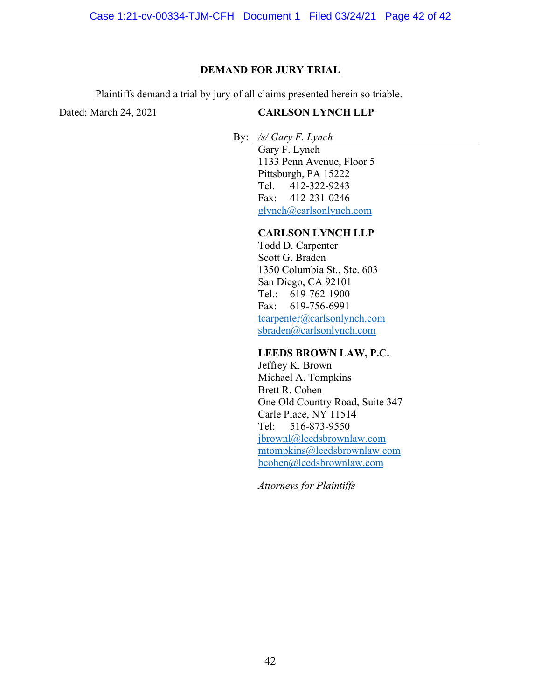#### **DEMAND FOR JURY TRIAL**

Plaintiffs demand a trial by jury of all claims presented herein so triable.

Dated: March 24, 2021

# **CARLSON LYNCH LLP**

By: */s/ Gary F. Lynch*

Gary F. Lynch 1133 Penn Avenue, Floor 5 Pittsburgh, PA 15222 Tel. 412-322-9243 Fax: 412-231-0246 glynch@carlsonlynch.com

# **CARLSON LYNCH LLP**

Todd D. Carpenter Scott G. Braden 1350 Columbia St., Ste. 603 San Diego, CA 92101 Tel.: 619-762-1900 Fax: 619-756-6991 tcarpenter@carlsonlynch.com sbraden@carlsonlynch.com

# **LEEDS BROWN LAW, P.C.**

Jeffrey K. Brown Michael A. Tompkins Brett R. Cohen One Old Country Road, Suite 347 Carle Place, NY 11514 Tel: 516-873-9550 jbrownl@leedsbrownlaw.com mtompkins@leedsbrownlaw.com bcohen@leedsbrownlaw.com

*Attorneys for Plaintiffs*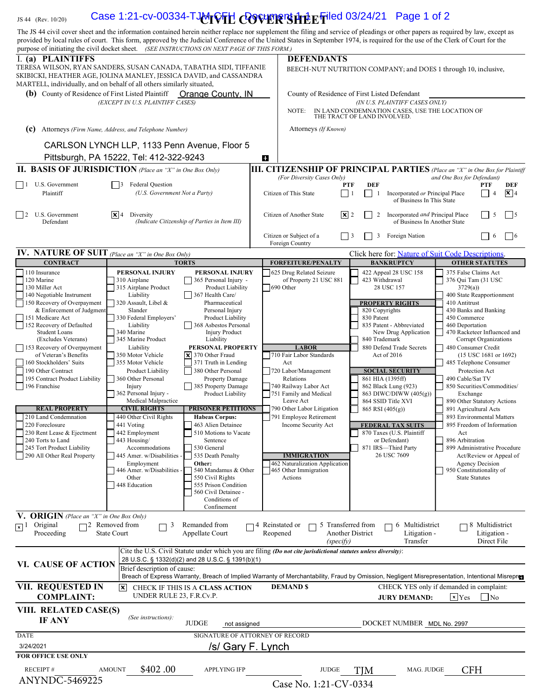# $\sigma_{\rm{1S\,44\,\,(Rev.\,10/20)}}$  Case 1:21-cv-00334-TJMrVFH  $CQ$ VERSPEFiled 03/24/21 Page 1 of 2

| The JS 44 civil cover sheet and the information contained herein neither replace nor supplement the filing and service of pleadings or other papers as required by law, except as<br>provided by local rules of court. This form, approved by the Judicial Conference of the United States in September 1974, is required for the use of the Clerk of Court for the |                                                                                                                                                                                                                           |                                                                                                                                                                                                       |                                                      |                                                                                                                                                                            |                                               |                              |                                                                        |                                                                              |                                        |                |
|---------------------------------------------------------------------------------------------------------------------------------------------------------------------------------------------------------------------------------------------------------------------------------------------------------------------------------------------------------------------|---------------------------------------------------------------------------------------------------------------------------------------------------------------------------------------------------------------------------|-------------------------------------------------------------------------------------------------------------------------------------------------------------------------------------------------------|------------------------------------------------------|----------------------------------------------------------------------------------------------------------------------------------------------------------------------------|-----------------------------------------------|------------------------------|------------------------------------------------------------------------|------------------------------------------------------------------------------|----------------------------------------|----------------|
| purpose of initiating the civil docket sheet. (SEE INSTRUCTIONS ON NEXT PAGE OF THIS FORM.)                                                                                                                                                                                                                                                                         |                                                                                                                                                                                                                           |                                                                                                                                                                                                       |                                                      |                                                                                                                                                                            |                                               |                              |                                                                        |                                                                              |                                        |                |
| I. (a) PLAINTIFFS<br>TERESA WILSON, RYAN SANDERS, SUSAN CANADA, TABATHA SIDI, TIFFANIE<br>SKIBICKI, HEATHER AGE, JOLINA MANLEY, JESSICA DAVID, and CASSANDRA                                                                                                                                                                                                        |                                                                                                                                                                                                                           |                                                                                                                                                                                                       |                                                      | <b>DEFENDANTS</b><br>BEECH-NUT NUTRITION COMPANY; and DOES 1 through 10, inclusive,                                                                                        |                                               |                              |                                                                        |                                                                              |                                        |                |
| MARTELL, individually, and on behalf of all others similarly situated,<br>(b) County of Residence of First Listed Plaintiff<br>Orange County, IN                                                                                                                                                                                                                    |                                                                                                                                                                                                                           |                                                                                                                                                                                                       |                                                      |                                                                                                                                                                            |                                               |                              |                                                                        |                                                                              |                                        |                |
| (EXCEPT IN U.S. PLAINTIFF CASES)                                                                                                                                                                                                                                                                                                                                    |                                                                                                                                                                                                                           |                                                                                                                                                                                                       |                                                      | County of Residence of First Listed Defendant<br>(IN U.S. PLAINTIFF CASES ONLY)<br>IN LAND CONDEMNATION CASES, USE THE LOCATION OF<br>NOTE:<br>THE TRACT OF LAND INVOLVED. |                                               |                              |                                                                        |                                                                              |                                        |                |
| (c)<br>Attorneys (Firm Name, Address, and Telephone Number)                                                                                                                                                                                                                                                                                                         |                                                                                                                                                                                                                           |                                                                                                                                                                                                       |                                                      | Attorneys (If Known)                                                                                                                                                       |                                               |                              |                                                                        |                                                                              |                                        |                |
|                                                                                                                                                                                                                                                                                                                                                                     | CARLSON LYNCH LLP, 1133 Penn Avenue, Floor 5<br>Pittsburgh, PA 15222, Tel: 412-322-9243                                                                                                                                   |                                                                                                                                                                                                       | ø                                                    |                                                                                                                                                                            |                                               |                              |                                                                        |                                                                              |                                        |                |
| <b>II. BASIS OF JURISDICTION</b> (Place an "X" in One Box Only)                                                                                                                                                                                                                                                                                                     |                                                                                                                                                                                                                           |                                                                                                                                                                                                       |                                                      | <b>III. CITIZENSHIP OF PRINCIPAL PARTIES</b> (Place an "X" in One Box for Plaintiff                                                                                        |                                               |                              |                                                                        |                                                                              |                                        |                |
| 1 U.S. Government<br><b>Federal Question</b><br>I 13                                                                                                                                                                                                                                                                                                                |                                                                                                                                                                                                                           |                                                                                                                                                                                                       |                                                      | (For Diversity Cases Only)                                                                                                                                                 | <b>PTF</b>                                    | <b>DEF</b>                   |                                                                        | and One Box for Defendant)                                                   | PTF                                    | DEF            |
| Plaintiff                                                                                                                                                                                                                                                                                                                                                           | (U.S. Government Not a Party)                                                                                                                                                                                             |                                                                                                                                                                                                       |                                                      | Citizen of This State                                                                                                                                                      | $\vert$   1                                   | $\Box$<br>-1                 | Incorporated or Principal Place<br>of Business In This State           |                                                                              | $\overline{4}$                         | $\mathbf{X}$ 4 |
| 2 U.S. Government<br>Defendant                                                                                                                                                                                                                                                                                                                                      | $ \mathbf{x} $ 4<br>Diversity<br>(Indicate Citizenship of Parties in Item III)                                                                                                                                            |                                                                                                                                                                                                       |                                                      | Citizen of Another State                                                                                                                                                   | $\mathbf{x}$ 2                                | 2                            | Incorporated and Principal Place<br>of Business In Another State       |                                                                              | -5                                     | $\Box$ 5       |
|                                                                                                                                                                                                                                                                                                                                                                     |                                                                                                                                                                                                                           |                                                                                                                                                                                                       |                                                      | Citizen or Subject of a<br>Foreign Country                                                                                                                                 | $ $   3                                       | 3                            | Foreign Nation                                                         |                                                                              | -6                                     | $\vert$   6    |
| <b>IV.</b> NATURE OF SUIT (Place an "X" in One Box Only)<br><b>CONTRACT</b>                                                                                                                                                                                                                                                                                         |                                                                                                                                                                                                                           | <b>TORTS</b>                                                                                                                                                                                          |                                                      | <b>FORFEITURE/PENALTY</b>                                                                                                                                                  |                                               |                              | Click here for: Nature of Suit Code Descriptions.<br><b>BANKRUPTCY</b> |                                                                              | <b>OTHER STATUTES</b>                  |                |
| 110 Insurance                                                                                                                                                                                                                                                                                                                                                       | PERSONAL INJURY                                                                                                                                                                                                           | PERSONAL INJURY                                                                                                                                                                                       |                                                      | 625 Drug Related Seizure                                                                                                                                                   |                                               |                              | 422 Appeal 28 USC 158                                                  | 375 False Claims Act                                                         |                                        |                |
| 120 Marine<br>130 Miller Act<br>140 Negotiable Instrument<br>150 Recovery of Overpayment                                                                                                                                                                                                                                                                            | 310 Airplane<br>315 Airplane Product<br>Liability<br>320 Assault, Libel &                                                                                                                                                 | 365 Personal Injury -<br>Product Liability<br>367 Health Care/<br>Pharmaceutical                                                                                                                      |                                                      | of Property 21 USC 881<br>$ 690 \text{ Other} $                                                                                                                            |                                               | 423 Withdrawal               | 28 USC 157<br><b>PROPERTY RIGHTS</b>                                   | 376 Qui Tam (31 USC<br>3729(a)<br>400 State Reapportionment<br>410 Antitrust |                                        |                |
| & Enforcement of Judgment<br>151 Medicare Act<br>152 Recovery of Defaulted                                                                                                                                                                                                                                                                                          | Slander<br>330 Federal Employers'<br>Liability                                                                                                                                                                            | Personal Injury<br>Product Liability<br>368 Asbestos Personal                                                                                                                                         |                                                      |                                                                                                                                                                            |                                               | 820 Copyrights<br>830 Patent | 835 Patent - Abbreviated                                               | 430 Banks and Banking<br>450 Commerce<br>460 Deportation                     |                                        |                |
| <b>Student Loans</b><br>(Excludes Veterans)<br>153 Recovery of Overpayment                                                                                                                                                                                                                                                                                          | 340 Marine<br>345 Marine Product<br>Liability                                                                                                                                                                             | <b>Injury Product</b><br>Liability<br>PERSONAL PROPERTY                                                                                                                                               |                                                      | <b>LABOR</b>                                                                                                                                                               |                                               | 840 Trademark                | New Drug Application<br>880 Defend Trade Secrets                       | 470 Racketeer Influenced and<br>480 Consumer Credit                          | Corrupt Organizations                  |                |
| of Veteran's Benefits<br>160 Stockholders' Suits                                                                                                                                                                                                                                                                                                                    | 350 Motor Vehicle                                                                                                                                                                                                         | $\vert \mathbf{x} \vert$ 370 Other Fraud                                                                                                                                                              |                                                      | 710 Fair Labor Standards                                                                                                                                                   |                                               |                              | Act of 2016                                                            |                                                                              | $(15$ USC 1681 or 1692)                |                |
| 190 Other Contract                                                                                                                                                                                                                                                                                                                                                  | 355 Motor Vehicle<br>Product Liability                                                                                                                                                                                    | 371 Truth in Lending<br>380 Other Personal                                                                                                                                                            |                                                      | Act<br>720 Labor/Management                                                                                                                                                |                                               |                              | <b>SOCIAL SECURITY</b>                                                 | 485 Telephone Consumer                                                       | Protection Act                         |                |
| 195 Contract Product Liability<br>196 Franchise                                                                                                                                                                                                                                                                                                                     | 360 Other Personal<br>Injury                                                                                                                                                                                              | <b>Property Damage</b><br>385 Property Damage                                                                                                                                                         |                                                      | Relations<br>740 Railway Labor Act                                                                                                                                         |                                               | 861 HIA (1395ff)             | 862 Black Lung (923)                                                   | 490 Cable/Sat TV<br>850 Securities/Commodities/                              |                                        |                |
|                                                                                                                                                                                                                                                                                                                                                                     | 362 Personal Injury -                                                                                                                                                                                                     | Product Liability                                                                                                                                                                                     |                                                      | 751 Family and Medical                                                                                                                                                     |                                               |                              | 863 DIWC/DIWW (405(g))                                                 | Exchange                                                                     |                                        |                |
| <b>REAL PROPERTY</b>                                                                                                                                                                                                                                                                                                                                                | Medical Malpractice<br><b>CIVIL RIGHTS</b>                                                                                                                                                                                | <b>PRISONER PETITIONS</b>                                                                                                                                                                             |                                                      | Leave Act<br>790 Other Labor Litigation                                                                                                                                    |                                               | 865 RSI (405(g))             | 864 SSID Title XVI                                                     | 890 Other Statutory Actions<br>891 Agricultural Acts                         |                                        |                |
| 210 Land Condemnation                                                                                                                                                                                                                                                                                                                                               | 440 Other Civil Rights                                                                                                                                                                                                    | <b>Habeas Corpus:</b>                                                                                                                                                                                 |                                                      | 791 Employee Retirement                                                                                                                                                    |                                               |                              |                                                                        | 893 Environmental Matters                                                    |                                        |                |
| 220 Foreclosure<br>230 Rent Lease & Ejectment                                                                                                                                                                                                                                                                                                                       | 441 Voting<br>442 Employment                                                                                                                                                                                              | 463 Alien Detainee<br>510 Motions to Vacate                                                                                                                                                           |                                                      | Income Security Act                                                                                                                                                        |                                               |                              | <b>FEDERAL TAX SUITS</b><br>870 Taxes (U.S. Plaintiff                  | 895 Freedom of Information<br>Act                                            |                                        |                |
| 240 Torts to Land<br>245 Tort Product Liability                                                                                                                                                                                                                                                                                                                     | 443 Housing/<br>Accommodations                                                                                                                                                                                            | Sentence<br>530 General                                                                                                                                                                               |                                                      |                                                                                                                                                                            |                                               |                              | or Defendant)<br>871 IRS-Third Party                                   | 896 Arbitration<br>899 Administrative Procedure                              |                                        |                |
| 290 All Other Real Property                                                                                                                                                                                                                                                                                                                                         | 445 Amer. w/Disabilities -<br>535 Death Penalty<br>Employment<br>Other:<br>446 Amer. w/Disabilities<br>540 Mandamus & Other<br>550 Civil Rights<br>Other<br>448 Education<br>555 Prison Condition<br>560 Civil Detainee - |                                                                                                                                                                                                       | <b>IMMIGRATION</b><br>462 Naturalization Application |                                                                                                                                                                            |                                               |                              | 26 USC 7609                                                            | Act/Review or Appeal of<br><b>Agency Decision</b>                            |                                        |                |
|                                                                                                                                                                                                                                                                                                                                                                     |                                                                                                                                                                                                                           |                                                                                                                                                                                                       |                                                      | 465 Other Immigration<br>Actions                                                                                                                                           |                                               |                              |                                                                        | 950 Constitutionality of<br><b>State Statutes</b>                            |                                        |                |
|                                                                                                                                                                                                                                                                                                                                                                     |                                                                                                                                                                                                                           | Conditions of<br>Confinement                                                                                                                                                                          |                                                      |                                                                                                                                                                            |                                               |                              |                                                                        |                                                                              |                                        |                |
| <b>ORIGIN</b> (Place an "X" in One Box Only)<br>Original<br>$\Box^2$<br>$\sqrt{x}$<br>Proceeding                                                                                                                                                                                                                                                                    | Removed from<br>3<br><b>State Court</b>                                                                                                                                                                                   | Remanded from<br>Appellate Court                                                                                                                                                                      |                                                      | Reinstated or<br>Reopened                                                                                                                                                  | 5 Transferred from<br><b>Another District</b> |                              | $\Box$ 6 Multidistrict<br>Litigation -                                 |                                                                              | $\neg$ 8 Multidistrict<br>Litigation - |                |
|                                                                                                                                                                                                                                                                                                                                                                     |                                                                                                                                                                                                                           | Cite the U.S. Civil Statute under which you are filing (Do not cite jurisdictional statutes unless diversity):                                                                                        |                                                      |                                                                                                                                                                            | (specify)                                     |                              | Transfer                                                               |                                                                              | Direct File                            |                |
| VI. CAUSE OF ACTION                                                                                                                                                                                                                                                                                                                                                 | Brief description of cause:                                                                                                                                                                                               | 28 U.S.C. § 1332(d)(2) and 28 U.S.C. § 1391(b)(1)<br>Breach of Express Warranty, Breach of Implied Warranty of Merchantability, Fraud by Omission, Negligent Misrepresentation, Intentional Misrepres |                                                      |                                                                                                                                                                            |                                               |                              |                                                                        |                                                                              |                                        |                |
| VII. REQUESTED IN<br><b>COMPLAINT:</b>                                                                                                                                                                                                                                                                                                                              | $\vert x \vert$<br>UNDER RULE 23, F.R.Cv.P.                                                                                                                                                                               | CHECK IF THIS IS A CLASS ACTION                                                                                                                                                                       |                                                      | <b>DEMAND \$</b>                                                                                                                                                           |                                               |                              | CHECK YES only if demanded in complaint:<br><b>JURY DEMAND:</b>        | $\vert$ × $\vert$ Yes                                                        | No                                     |                |
| VIII. RELATED CASE(S)<br>(See instructions):<br><b>IF ANY</b><br><b>JUDGE</b><br>not assigned                                                                                                                                                                                                                                                                       |                                                                                                                                                                                                                           |                                                                                                                                                                                                       |                                                      | DOCKET NUMBER MDL No. 2997                                                                                                                                                 |                                               |                              |                                                                        |                                                                              |                                        |                |
| <b>DATE</b>                                                                                                                                                                                                                                                                                                                                                         |                                                                                                                                                                                                                           | SIGNATURE OF ATTORNEY OF RECORD                                                                                                                                                                       |                                                      |                                                                                                                                                                            |                                               |                              |                                                                        |                                                                              |                                        |                |
| 3/24/2021                                                                                                                                                                                                                                                                                                                                                           |                                                                                                                                                                                                                           | /s/ Gary F. Lynch                                                                                                                                                                                     |                                                      |                                                                                                                                                                            |                                               |                              |                                                                        |                                                                              |                                        |                |
| <b>FOR OFFICE USE ONLY</b>                                                                                                                                                                                                                                                                                                                                          |                                                                                                                                                                                                                           |                                                                                                                                                                                                       |                                                      |                                                                                                                                                                            |                                               |                              |                                                                        |                                                                              |                                        |                |
| <b>RECEIPT#</b><br>ANYNDC-5469225                                                                                                                                                                                                                                                                                                                                   | \$402.00<br><b>AMOUNT</b>                                                                                                                                                                                                 | <b>APPLYING IFP</b>                                                                                                                                                                                   |                                                      | <b>JUDGE</b><br>$Case No 1.21-CV-0334$                                                                                                                                     |                                               | TJM                          | MAG. JUDGE                                                             | <b>CFH</b>                                                                   |                                        |                |

Case No. 1:21-CV-0334